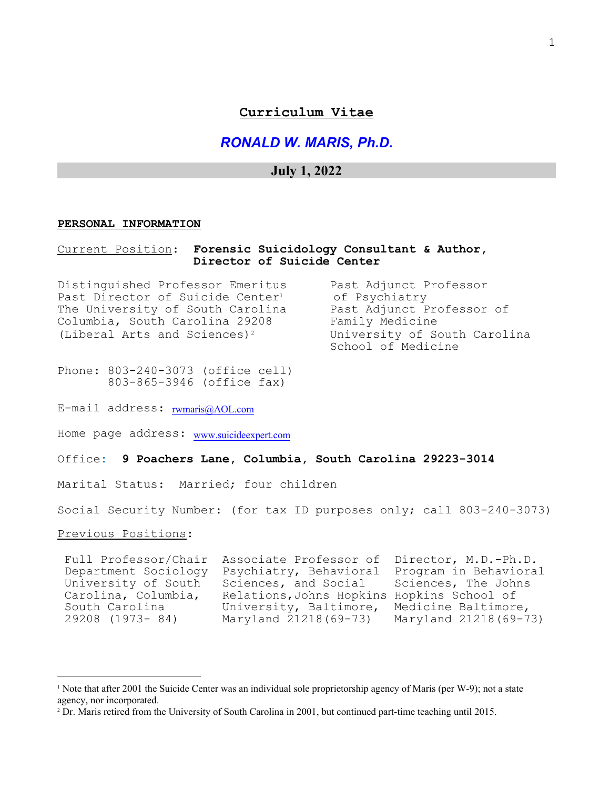## **Curriculum Vitae**

*RONALD W. MARIS, Ph.D.*

# **July 1, 2022**

#### **PERSONAL INFORMATION**

## Current Position: **Forensic Suicidology Consultant & Author, Director of Suicide Center**

Distinguished Professor Emeritus Past Adjunct Professor Past Director of Suicide Center<sup>1</sup> of Psychiatry<br>The University of South Carolina Bast Adjunct Professor of The University of South Carolina Columbia, South Carolina 29208 Family Medicine (Liberal Arts and Sciences)2 University of South Carolina

School of Medicine

Phone: 803-240-3073 (office cell) 803-865-3946 (office fax)

E-mail address: [rwmaris@AOL.com](mailto:rwmaris@AOL.com)

Home page address: [www.suicideexpert.com](http://www.suicideex[ert.com)

Office**: 9 Poachers Lane, Columbia, South Carolina 29223-3014** 

Marital Status: Married; four children

Social Security Number: (for tax ID purposes only; call 803-240-3073)

Previous Positions:

 Full Professor/Chair Associate Professor of Director, M.D.-Ph.D. Department Sociology Psychiatry, Behavioral Program in Behavioral<br>University of South Sciences, and Social Sciences, The Johns University of South Sciences, and Social Carolina, Columbia, Relations,Johns Hopkins Hopkins School of South Carolina University, Baltimore, Medicine Baltimore,<br>29208 (1973- 84) Maryland 21218 (69-73) Maryland 21218 (69-73) Maryland 21218(69-73)

<sup>1</sup> Note that after 2001 the Suicide Center was an individual sole proprietorship agency of Maris (per W-9); not a state agency, nor incorporated.

<sup>2</sup> Dr. Maris retired from the University of South Carolina in 2001, but continued part-time teaching until 2015.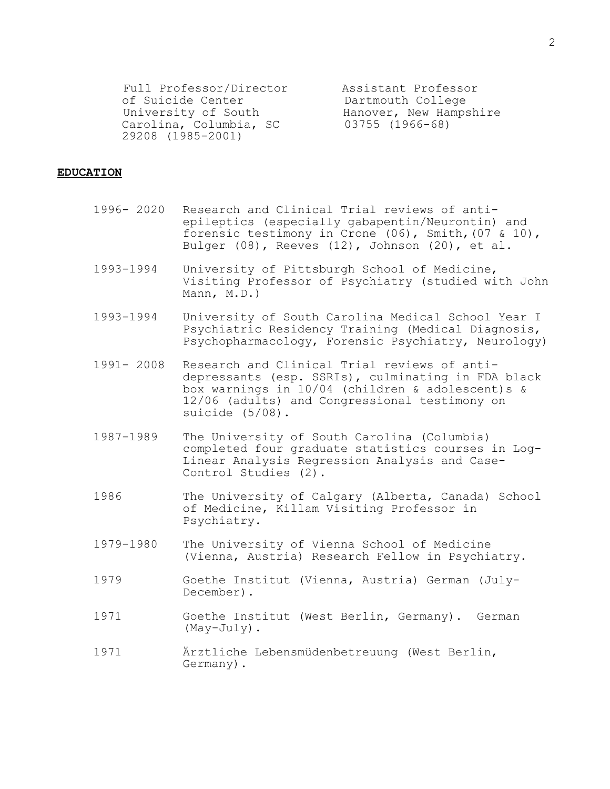Full Professor/Director assistant Professor<br>
of Suicide Center bartmouth College of Suicide Center **Dartmouth College**<br>
University of South **Exercise Hanover, New Hamps** University of South Hanover, New Hampshire Carolina, Columbia, SC 63755 (1966-68) 29208 (1985-2001)

#### **EDUCATION**

- 1996- 2020 Research and Clinical Trial reviews of antiepileptics (especially gabapentin/Neurontin) and forensic testimony in Crone (06), Smith,(07 & 10), Bulger (08), Reeves (12), Johnson (20), et al.
- 1993-1994 University of Pittsburgh School of Medicine, Visiting Professor of Psychiatry (studied with John Mann, M.D.)
- 1993-1994 University of South Carolina Medical School Year I Psychiatric Residency Training (Medical Diagnosis, Psychopharmacology, Forensic Psychiatry, Neurology)
- 1991- 2008 Research and Clinical Trial reviews of antidepressants (esp. SSRIs), culminating in FDA black box warnings in 10/04 (children & adolescent)s & 12/06 (adults) and Congressional testimony on suicide (5/08).
- 1987-1989 The University of South Carolina (Columbia) completed four graduate statistics courses in Log-Linear Analysis Regression Analysis and Case-Control Studies (2).
- 1986 The University of Calgary (Alberta, Canada) School of Medicine, Killam Visiting Professor in Psychiatry.
- 1979-1980 The University of Vienna School of Medicine (Vienna, Austria) Research Fellow in Psychiatry.
- 1979 Goethe Institut (Vienna, Austria) German (July-December).
- 1971 Goethe Institut (West Berlin, Germany). German (May-July).
- 1971 Ärztliche Lebensmüdenbetreuung (West Berlin, Germany).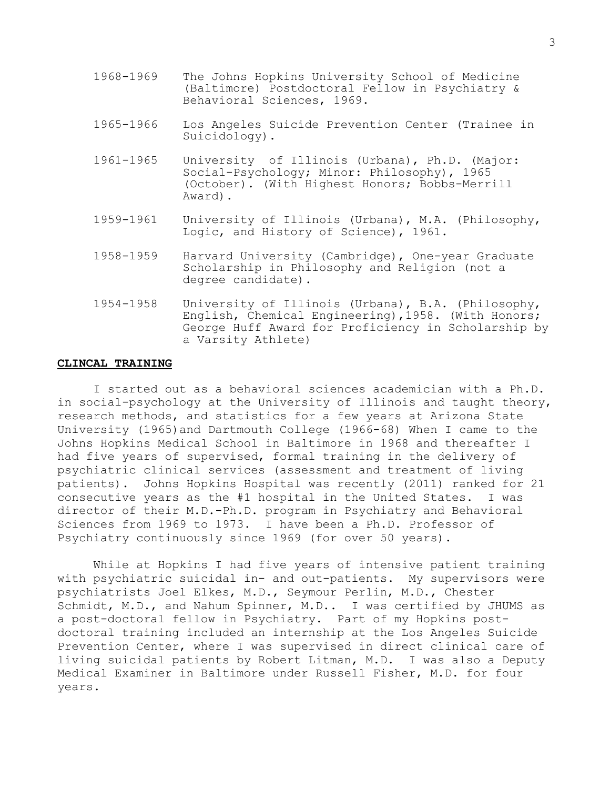- 1968-1969 The Johns Hopkins University School of Medicine (Baltimore) Postdoctoral Fellow in Psychiatry & Behavioral Sciences, 1969.
- 1965-1966 Los Angeles Suicide Prevention Center (Trainee in Suicidology).
- 1961-1965 University of Illinois (Urbana), Ph.D. (Major: Social-Psychology; Minor: Philosophy), 1965 (October). (With Highest Honors; Bobbs-Merrill Award).
- 1959-1961 University of Illinois (Urbana), M.A. (Philosophy, Logic, and History of Science), 1961.
- 1958-1959 Harvard University (Cambridge), One-year Graduate Scholarship in Philosophy and Religion (not a degree candidate).
- 1954-1958 University of Illinois (Urbana), B.A. (Philosophy, English, Chemical Engineering),1958. (With Honors; George Huff Award for Proficiency in Scholarship by a Varsity Athlete)

## **CLINCAL TRAINING**

I started out as a behavioral sciences academician with a Ph.D. in social-psychology at the University of Illinois and taught theory, research methods, and statistics for a few years at Arizona State University (1965)and Dartmouth College (1966-68) When I came to the Johns Hopkins Medical School in Baltimore in 1968 and thereafter I had five years of supervised, formal training in the delivery of psychiatric clinical services (assessment and treatment of living patients). Johns Hopkins Hospital was recently (2011) ranked for 21 consecutive years as the #1 hospital in the United States. I was director of their M.D.-Ph.D. program in Psychiatry and Behavioral Sciences from 1969 to 1973. I have been a Ph.D. Professor of Psychiatry continuously since 1969 (for over 50 years).

While at Hopkins I had five years of intensive patient training with psychiatric suicidal in- and out-patients. My supervisors were psychiatrists Joel Elkes, M.D., Seymour Perlin, M.D., Chester Schmidt, M.D., and Nahum Spinner, M.D.. I was certified by JHUMS as a post-doctoral fellow in Psychiatry. Part of my Hopkins postdoctoral training included an internship at the Los Angeles Suicide Prevention Center, where I was supervised in direct clinical care of living suicidal patients by Robert Litman, M.D. I was also a Deputy Medical Examiner in Baltimore under Russell Fisher, M.D. for four years.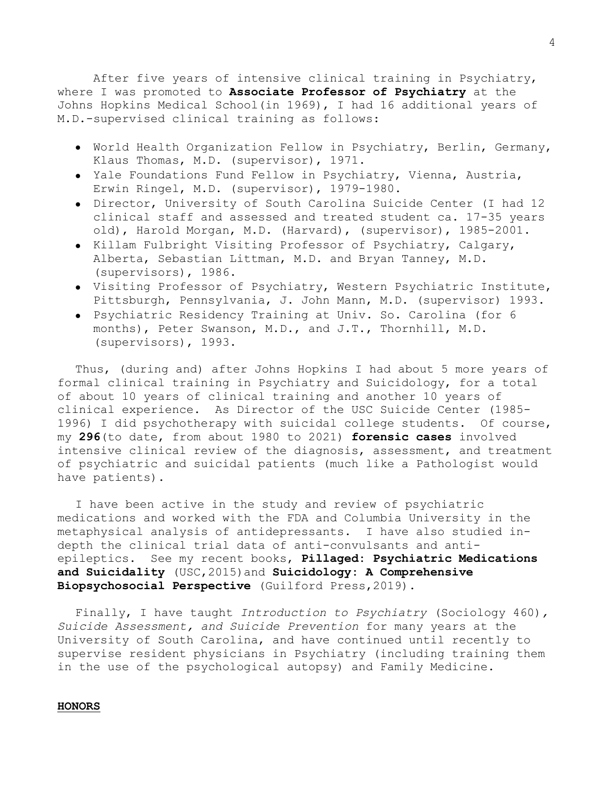After five years of intensive clinical training in Psychiatry, where I was promoted to **Associate Professor of Psychiatry** at the Johns Hopkins Medical School(in 1969), I had 16 additional years of M.D.-supervised clinical training as follows:

- World Health Organization Fellow in Psychiatry, Berlin, Germany, Klaus Thomas, M.D. (supervisor), 1971.
- Yale Foundations Fund Fellow in Psychiatry, Vienna, Austria, Erwin Ringel, M.D. (supervisor), 1979-1980.
- Director, University of South Carolina Suicide Center (I had 12 clinical staff and assessed and treated student ca. 17-35 years old), Harold Morgan, M.D. (Harvard), (supervisor), 1985-2001.
- Killam Fulbright Visiting Professor of Psychiatry, Calgary, Alberta, Sebastian Littman, M.D. and Bryan Tanney, M.D. (supervisors), 1986.
- Visiting Professor of Psychiatry, Western Psychiatric Institute, Pittsburgh, Pennsylvania, J. John Mann, M.D. (supervisor) 1993.
- Psychiatric Residency Training at Univ. So. Carolina (for 6 months), Peter Swanson, M.D., and J.T., Thornhill, M.D. (supervisors), 1993.

Thus, (during and) after Johns Hopkins I had about 5 more years of formal clinical training in Psychiatry and Suicidology, for a total of about 10 years of clinical training and another 10 years of clinical experience. As Director of the USC Suicide Center (1985- 1996) I did psychotherapy with suicidal college students. Of course, my **296**(to date, from about 1980 to 2021) **forensic cases** involved intensive clinical review of the diagnosis, assessment, and treatment of psychiatric and suicidal patients (much like a Pathologist would have patients).

I have been active in the study and review of psychiatric medications and worked with the FDA and Columbia University in the metaphysical analysis of antidepressants. I have also studied indepth the clinical trial data of anti-convulsants and antiepileptics. See my recent books, **Pillaged: Psychiatric Medications and Suicidality** (USC,2015)and **Suicidology: A Comprehensive Biopsychosocial Perspective** (Guilford Press,2019).

Finally, I have taught *Introduction to Psychiatry* (Sociology 460)*, Suicide Assessment, and Suicide Prevention* for many years at the University of South Carolina, and have continued until recently to supervise resident physicians in Psychiatry (including training them in the use of the psychological autopsy) and Family Medicine.

## **HONORS**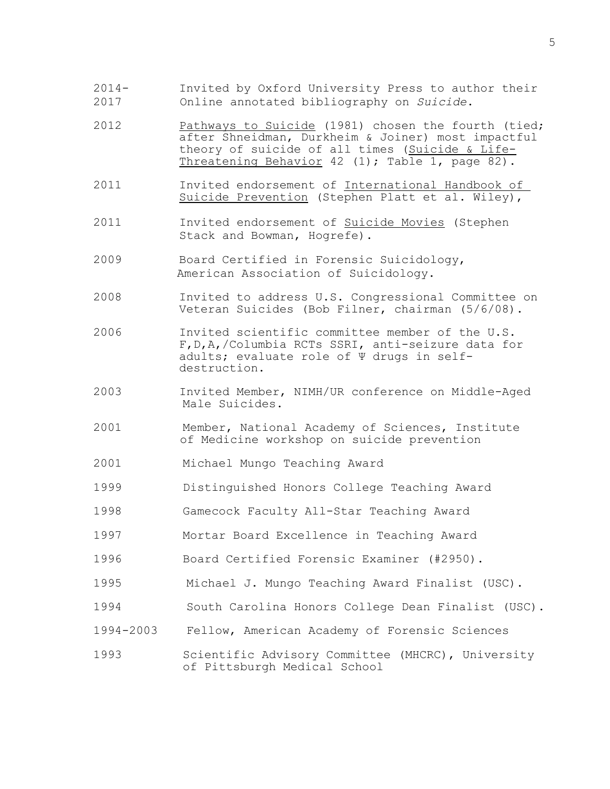- 2014- Invited by Oxford University Press to author their 2017 Online annotated bibliography on *Suicide*.
- 2012 Pathways to Suicide (1981) chosen the fourth (tied; after Shneidman, Durkheim & Joiner) most impactful theory of suicide of all times (Suicide & Life-Threatening Behavior 42 (1); Table 1, page 82).
- 2011 Invited endorsement of International Handbook of Suicide Prevention (Stephen Platt et al. Wiley),
- 2011 Invited endorsement of Suicide Movies (Stephen Stack and Bowman, Hogrefe).
- 2009 Board Certified in Forensic Suicidology, American Association of Suicidology.
- 2008 Invited to address U.S. Congressional Committee on Veteran Suicides (Bob Filner, chairman (5/6/08).
- <sup>2006</sup> Invited scientific committee member of the U.S. F,D,A,/Columbia RCTs SSRI, anti-seizure data for adults; evaluate role of Ψ drugs in selfdestruction.
- 2003 Invited Member, NIMH/UR conference on Middle-Aged Male Suicides.
- 2001 Member, National Academy of Sciences, Institute of Medicine workshop on suicide prevention
- 2001 Michael Mungo Teaching Award
- 1999 Distinguished Honors College Teaching Award
- 1998 Gamecock Faculty All-Star Teaching Award
- 1997 Mortar Board Excellence in Teaching Award
- 1996 Board Certified Forensic Examiner (#2950).
- 1995 Michael J. Mungo Teaching Award Finalist (USC).
- 1994 South Carolina Honors College Dean Finalist (USC).
- 1994-2003 Fellow, American Academy of Forensic Sciences
- 1993 Scientific Advisory Committee (MHCRC), University of Pittsburgh Medical School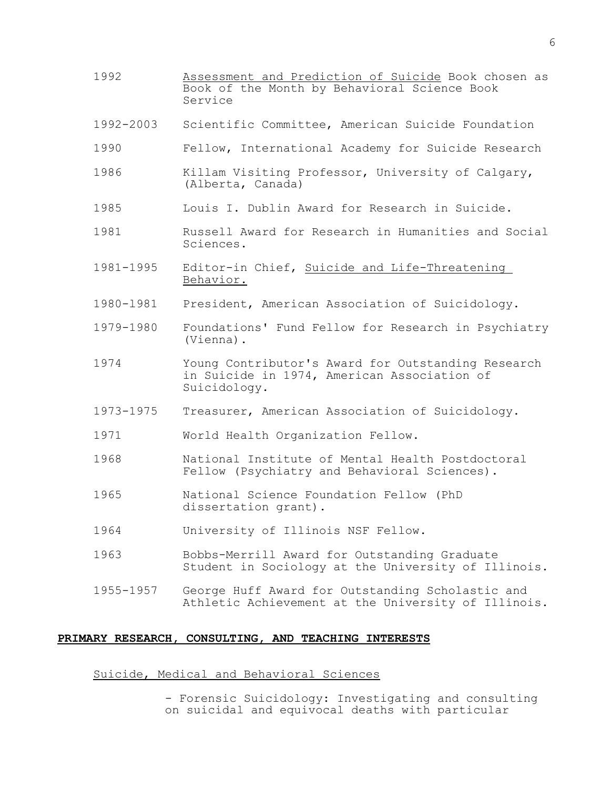- 1992 Assessment and Prediction of Suicide Book chosen as Book of the Month by Behavioral Science Book Service
- 1992-2003 Scientific Committee, American Suicide Foundation
- 1990 Fellow, International Academy for Suicide Research
- 1986 Killam Visiting Professor, University of Calgary, (Alberta, Canada)
- 1985 Louis I. Dublin Award for Research in Suicide.
- 1981 Russell Award for Research in Humanities and Social Sciences.
- 1981-1995 Editor-in Chief, Suicide and Life-Threatening Behavior.
- 1980-l981 President, American Association of Suicidology.
- 1979-1980 Foundations' Fund Fellow for Research in Psychiatry (Vienna).
- 1974 Young Contributor's Award for Outstanding Research in Suicide in 1974, American Association of Suicidology.
- 1973-1975 Treasurer, American Association of Suicidology.
- 1971 World Health Organization Fellow.
- 1968 National Institute of Mental Health Postdoctoral Fellow (Psychiatry and Behavioral Sciences).
- 1965 National Science Foundation Fellow (PhD dissertation grant).
- 1964 University of Illinois NSF Fellow.
- 1963 Bobbs-Merrill Award for Outstanding Graduate Student in Sociology at the University of Illinois.
- 1955-1957 George Huff Award for Outstanding Scholastic and Athletic Achievement at the University of Illinois.

## **PRIMARY RESEARCH, CONSULTING, AND TEACHING INTERESTS**

## Suicide, Medical and Behavioral Sciences

- Forensic Suicidology: Investigating and consulting on suicidal and equivocal deaths with particular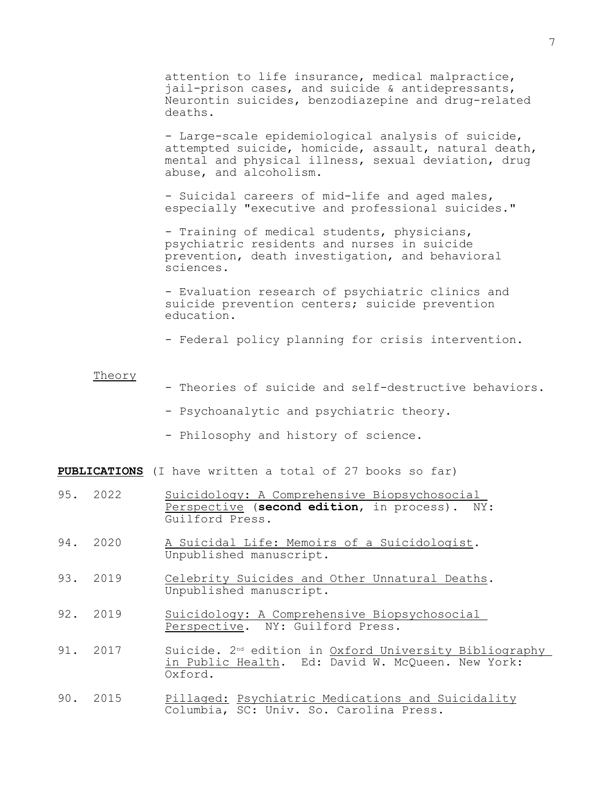attention to life insurance, medical malpractice, jail-prison cases, and suicide & antidepressants, Neurontin suicides, benzodiazepine and drug-related deaths.

- Large-scale epidemiological analysis of suicide, attempted suicide, homicide, assault, natural death, mental and physical illness, sexual deviation, drug abuse, and alcoholism.

- Suicidal careers of mid-life and aged males, especially "executive and professional suicides."

- Training of medical students, physicians, psychiatric residents and nurses in suicide prevention, death investigation, and behavioral sciences.

- Evaluation research of psychiatric clinics and suicide prevention centers; suicide prevention education.

- Federal policy planning for crisis intervention.

### Theory

- Theories of suicide and self-destructive behaviors.
- Psychoanalytic and psychiatric theory.
- Philosophy and history of science.

**PUBLICATIONS** (I have written a total of 27 books so far)

- 95. 2022 Suicidology: A Comprehensive Biopsychosocial Perspective (**second edition**, in process). NY: Guilford Press.
- 94. 2020 A Suicidal Life: Memoirs of a Suicidologist. Unpublished manuscript.
- 93. 2019 Celebrity Suicides and Other Unnatural Deaths. Unpublished manuscript.
- 92. 2019 Suicidology: A Comprehensive Biopsychosocial Perspective. NY: Guilford Press.
- 91. 2017 Suicide. 2nd edition in Oxford University Bibliography in Public Health. Ed: David W. McQueen. New York: Oxford.
- 90. 2015 Pillaged: Psychiatric Medications and Suicidality Columbia, SC: Univ. So. Carolina Press.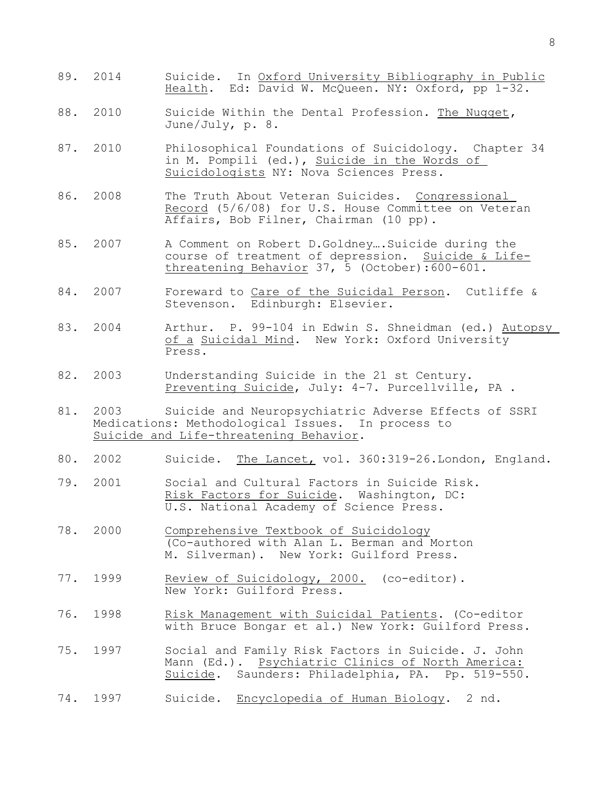- 89. 2014 Suicide. In Oxford University Bibliography in Public Health. Ed: David W. McQueen. NY: Oxford, pp 1-32.
- 88. 2010 Suicide Within the Dental Profession. The Nugget**,** June/July, p. 8.
- 87. 2010 Philosophical Foundations of Suicidology. Chapter 34 in M. Pompili (ed.), Suicide in the Words of Suicidologists NY: Nova Sciences Press.
- 86. 2008 The Truth About Veteran Suicides. Congressional Record (5/6/08) for U.S. House Committee on Veteran Affairs, Bob Filner, Chairman (10 pp).
- 85. 2007 A Comment on Robert D.Goldney….Suicide during the course of treatment of depression. Suicide & Lifethreatening Behavior 37, 5 (October):600-601.
- 84. 2007 Foreward to Care of the Suicidal Person. Cutliffe & Stevenson. Edinburgh: Elsevier.
- 83. 2004 Arthur. P. 99-104 in Edwin S. Shneidman (ed.) Autopsy of a Suicidal Mind. New York: Oxford University Press.
- 82. 2003 Understanding Suicide in the 21 st Century. Preventing Suicide, July: 4-7. Purcellville, PA .
- 81. 2003 Suicide and Neuropsychiatric Adverse Effects of SSRI Medications: Methodological Issues. In process to Suicide and Life-threatening Behavior.
- 80. 2002 Suicide. The Lancet, vol. 360:319-26.London, England.
- 79. 2001 Social and Cultural Factors in Suicide Risk. Risk Factors for Suicide. Washington, DC: U.S. National Academy of Science Press.
- 78. 2000 Comprehensive Textbook of Suicidology (Co-authored with Alan L. Berman and Morton M. Silverman). New York: Guilford Press.
- 77. 1999 Review of Suicidology, 2000. (co-editor). New York: Guilford Press.
- 76. 1998 Risk Management with Suicidal Patients. (Co-editor with Bruce Bongar et al.) New York: Guilford Press.
- 75. 1997 Social and Family Risk Factors in Suicide. J. John Mann (Ed.). Psychiatric Clinics of North America: Suicide. Saunders: Philadelphia, PA. Pp. 519-550.
- 74. 1997 Suicide. Encyclopedia of Human Biology. 2 nd.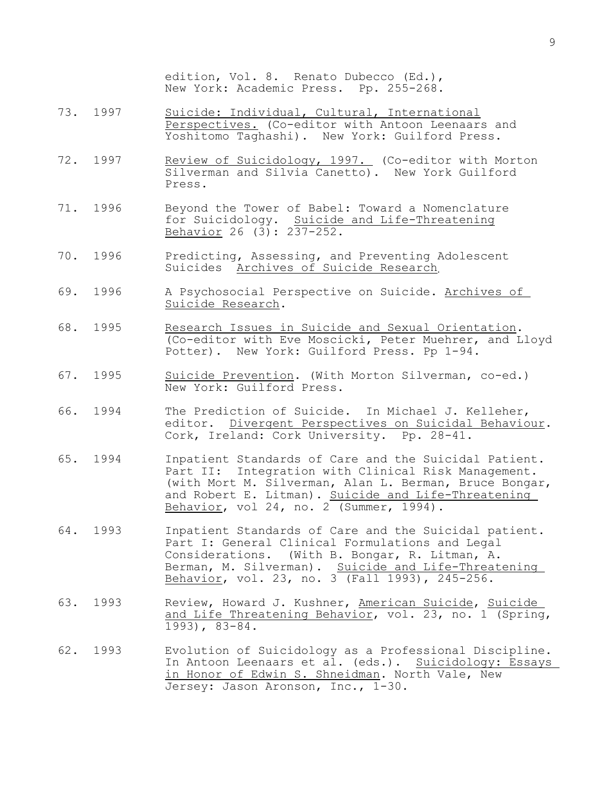edition, Vol. 8. Renato Dubecco (Ed.), New York: Academic Press. Pp. 255-268.

- 73. 1997 Suicide: Individual, Cultural, International Perspectives. (Co-editor with Antoon Leenaars and Yoshitomo Taghashi). New York: Guilford Press.
- 72. 1997 Review of Suicidology, 1997. (Co-editor with Morton Silverman and Silvia Canetto). New York Guilford Press.
- 71. 1996 Beyond the Tower of Babel: Toward a Nomenclature for Suicidology. Suicide and Life-Threatening Behavior 26 (3): 237-252.
- 70. 1996 Predicting, Assessing, and Preventing Adolescent Suicides Archives of Suicide Research.
- 69. 1996 A Psychosocial Perspective on Suicide. Archives of Suicide Research.
- 68. 1995 Research Issues in Suicide and Sexual Orientation. (Co-editor with Eve Moscicki, Peter Muehrer, and Lloyd Potter). New York: Guilford Press. Pp 1-94.
- 67. 1995 Suicide Prevention. (With Morton Silverman, co-ed.) New York: Guilford Press.
- 66. 1994 The Prediction of Suicide. In Michael J. Kelleher, editor. Divergent Perspectives on Suicidal Behaviour. Cork, Ireland: Cork University. Pp. 28-41.
- 65. 1994 Inpatient Standards of Care and the Suicidal Patient. Part II: Integration with Clinical Risk Management. (with Mort M. Silverman, Alan L. Berman, Bruce Bongar, and Robert E. Litman). Suicide and Life-Threatening Behavior, vol 24, no. 2 (Summer, 1994).
- 64. 1993 Inpatient Standards of Care and the Suicidal patient. Part I: General Clinical Formulations and Legal Considerations. (With B. Bongar, R. Litman, A. Berman, M. Silverman). Suicide and Life-Threatening Behavior, vol. 23, no. 3 (Fall 1993), 245-256.
- 63. 1993 Review, Howard J. Kushner, American Suicide, Suicide and Life Threatening Behavior, vol. 23, no. 1 (Spring, 1993), 83-84.
- 62. 1993 Evolution of Suicidology as a Professional Discipline. In Antoon Leenaars et al. (eds.). Suicidology: Essays in Honor of Edwin S. Shneidman. North Vale, New Jersey: Jason Aronson, Inc., 1-30.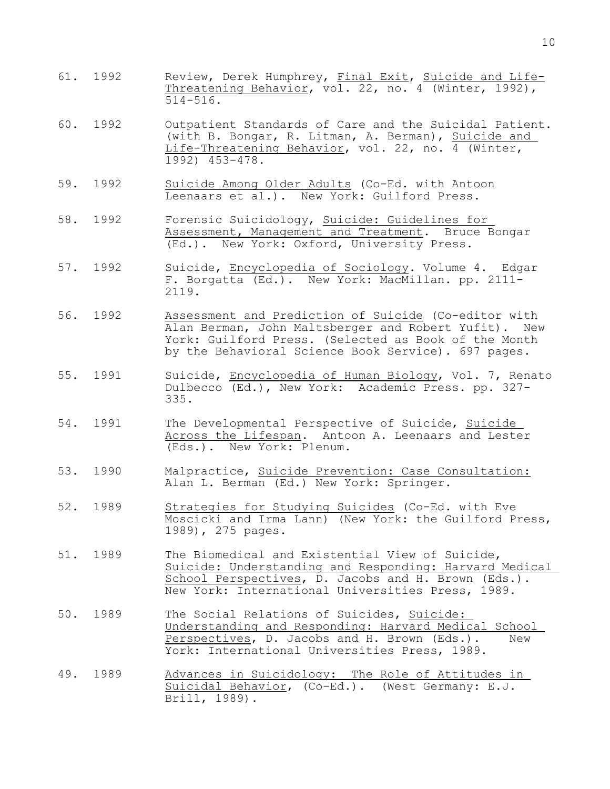- 61. 1992 Review, Derek Humphrey, Final Exit, Suicide and Life-Threatening Behavior, vol. 22, no. 4 (Winter, 1992), 514-516.
- 60. 1992 Outpatient Standards of Care and the Suicidal Patient. (with B. Bongar, R. Litman, A. Berman), Suicide and Life-Threatening Behavior, vol. 22, no. 4 (Winter, 1992) 453-478.
- 59. 1992 Suicide Among Older Adults (Co-Ed. with Antoon Leenaars et al.). New York: Guilford Press.
- 58. 1992 Forensic Suicidology, Suicide: Guidelines for Assessment, Management and Treatment. Bruce Bongar (Ed.). New York: Oxford, University Press.
- 57. 1992 Suicide, Encyclopedia of Sociology. Volume 4. Edgar F. Borgatta (Ed.). New York: MacMillan. pp. 2111- 2119.
- 56. 1992 Assessment and Prediction of Suicide (Co-editor with<br>Alan Berman, John Maltsberger and Robert Yufit). New Alan Berman, John Maltsberger and Robert Yufit). York: Guilford Press. (Selected as Book of the Month by the Behavioral Science Book Service). 697 pages.
- 55. 1991 Suicide, Encyclopedia of Human Biology, Vol. 7, Renato Dulbecco (Ed.), New York: Academic Press. pp. 327- 335.
- 54. 1991 The Developmental Perspective of Suicide, Suicide Across the Lifespan. Antoon A. Leenaars and Lester (Eds.). New York: Plenum.
- 53. 1990 Malpractice, Suicide Prevention: Case Consultation: Alan L. Berman (Ed.) New York: Springer.
- 52. 1989 Strategies for Studying Suicides (Co-Ed. with Eve Moscicki and Irma Lann) (New York: the Guilford Press, 1989), 275 pages.
- 51. 1989 The Biomedical and Existential View of Suicide, Suicide: Understanding and Responding: Harvard Medical School Perspectives, D. Jacobs and H. Brown (Eds.). New York: International Universities Press, 1989.
- 50. 1989 The Social Relations of Suicides, Suicide: Understanding and Responding: Harvard Medical School Perspectives, D. Jacobs and H. Brown (Eds.). New York: International Universities Press, 1989.
- 49. 1989 Advances in Suicidology: The Role of Attitudes in Suicidal Behavior, (Co-Ed.). (West Germany: E.J. Brill, 1989).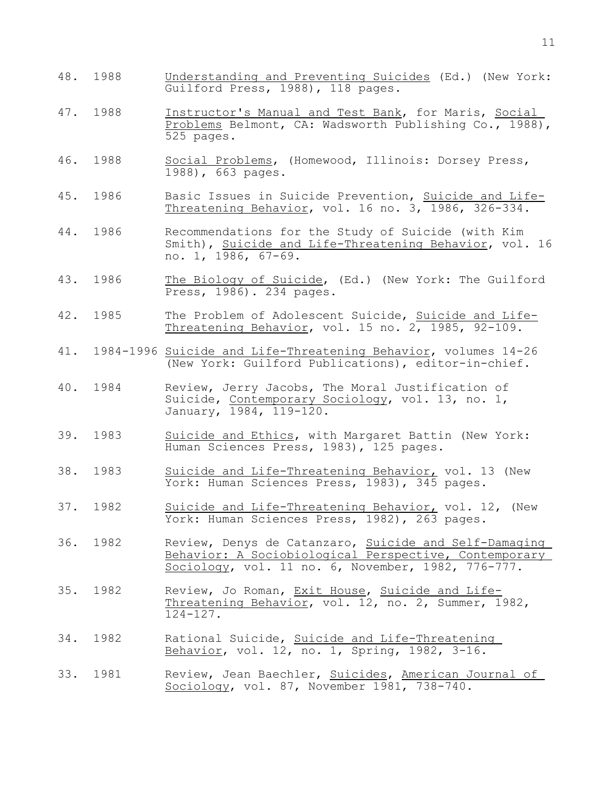- 48. 1988 Understanding and Preventing Suicides (Ed.) (New York: Guilford Press, 1988), 118 pages.
- 47. 1988 Instructor's Manual and Test Bank, for Maris, Social Problems Belmont, CA: Wadsworth Publishing Co., 1988), 525 pages.
- 46. 1988 Social Problems, (Homewood, Illinois: Dorsey Press, 1988), 663 pages.
- 45. 1986 Basic Issues in Suicide Prevention, Suicide and Life-Threatening Behavior, vol. 16 no. 3, 1986, 326-334.
- 44. 1986 Recommendations for the Study of Suicide (with Kim Smith), Suicide and Life-Threatening Behavior, vol. 16 no. 1, 1986, 67-69.
- 43. 1986 The Biology of Suicide, (Ed.) (New York: The Guilford Press, 1986). 234 pages.
- 42. 1985 The Problem of Adolescent Suicide, Suicide and Life-Threatening Behavior, vol. 15 no. 2, 1985, 92-109.
- 41. 1984-1996 Suicide and Life-Threatening Behavior, volumes 14-26 (New York: Guilford Publications), editor-in-chief.
- 40. 1984 Review, Jerry Jacobs, The Moral Justification of Suicide, Contemporary Sociology, vol. 13, no. 1, January, 1984, 119-120.
- 39. 1983 Suicide and Ethics, with Margaret Battin (New York: Human Sciences Press, 1983), 125 pages.
- 38. 1983 Suicide and Life-Threatening Behavior, vol. 13 (New York: Human Sciences Press, 1983), 345 pages.
- 37. 1982 Suicide and Life-Threatening Behavior, vol. 12, (New York: Human Sciences Press, 1982), 263 pages.
- 36. 1982 Review, Denys de Catanzaro, Suicide and Self-Damaging Behavior: A Sociobiological Perspective, Contemporary Sociology, vol. 11 no. 6, November, 1982, 776-777.
- 35. 1982 Review, Jo Roman, Exit House, Suicide and Life-Threatening Behavior, vol. 12, no. 2, Summer, 1982,  $\overline{124-127}$ .
- 34. 1982 Rational Suicide, Suicide and Life-Threatening Behavior, vol. 12, no. 1, Spring, 1982, 3-16.
- 33. 1981 Review, Jean Baechler, Suicides, American Journal of Sociology, vol. 87, November 1981, 738-740.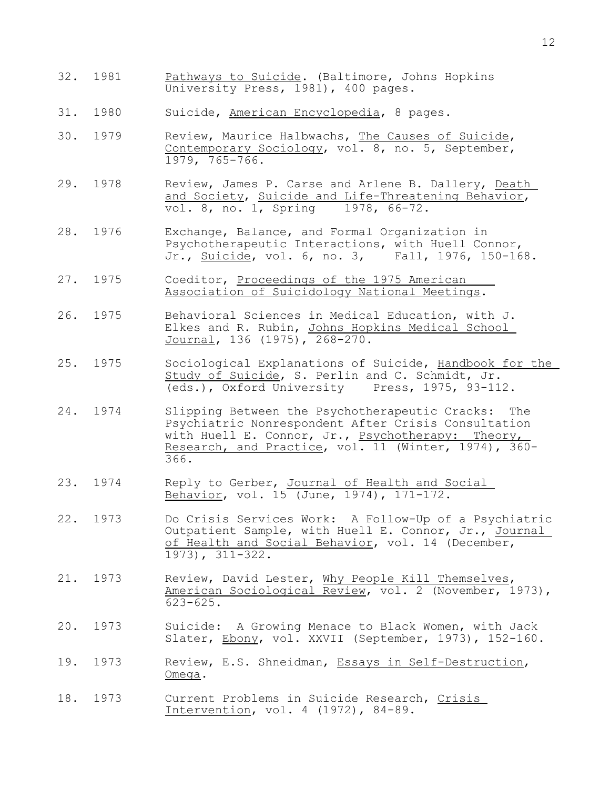- 32. 1981 Pathways to Suicide. (Baltimore, Johns Hopkins University Press, 1981), 400 pages.
- 31. 1980 Suicide, American Encyclopedia, 8 pages.
- 30. 1979 Review, Maurice Halbwachs, The Causes of Suicide, Contemporary Sociology, vol. 8, no. 5, September, 1979, 765-766.
- 29. 1978 Review, James P. Carse and Arlene B. Dallery, Death and Society, Suicide and Life-Threatening Behavior, vol. 8, no. 1, Spring 1978, 66-72.
- 28. 1976 Exchange, Balance, and Formal Organization in Psychotherapeutic Interactions, with Huell Connor,<br>Jr., Suicide, vol. 6, no. 3, Fall, 1976, 150-168. Jr., Suicide, vol. 6, no. 3,
- 27. 1975 Coeditor, Proceedings of the 1975 American Association of Suicidology National Meetings.
- 26. 1975 Behavioral Sciences in Medical Education, with J. Elkes and R. Rubin, Johns Hopkins Medical School Journal, 136 (1975), 268-270.
- 25. 1975 Sociological Explanations of Suicide, Handbook for the Study of Suicide, S. Perlin and C. Schmidt, Jr. (eds.), Oxford University Press, 1975, 93-112.
- 24. 1974 Slipping Between the Psychotherapeutic Cracks: The Psychiatric Nonrespondent After Crisis Consultation with Huell E. Connor, Jr., Psychotherapy: Theory, Research, and Practice, vol. 11 (Winter, 1974), 360- 366.
- 23. 1974 Reply to Gerber, Journal of Health and Social Behavior, vol. 15 (June, 1974), 171-172.
- 22. 1973 Do Crisis Services Work: A Follow-Up of a Psychiatric Outpatient Sample, with Huell E. Connor, Jr., Journal of Health and Social Behavior, vol. 14 (December, 1973), 311-322.
- 21. 1973 Review, David Lester, Why People Kill Themselves, American Sociological Review, vol. 2 (November, 1973), 623-625.
- 20. 1973 Suicide: A Growing Menace to Black Women, with Jack Slater, Ebony, vol. XXVII (September, 1973), 152-160.
- 19. 1973 Review, E.S. Shneidman, Essays in Self-Destruction, Omega.
- 18. 1973 Current Problems in Suicide Research, Crisis Intervention, vol. 4 (1972), 84-89.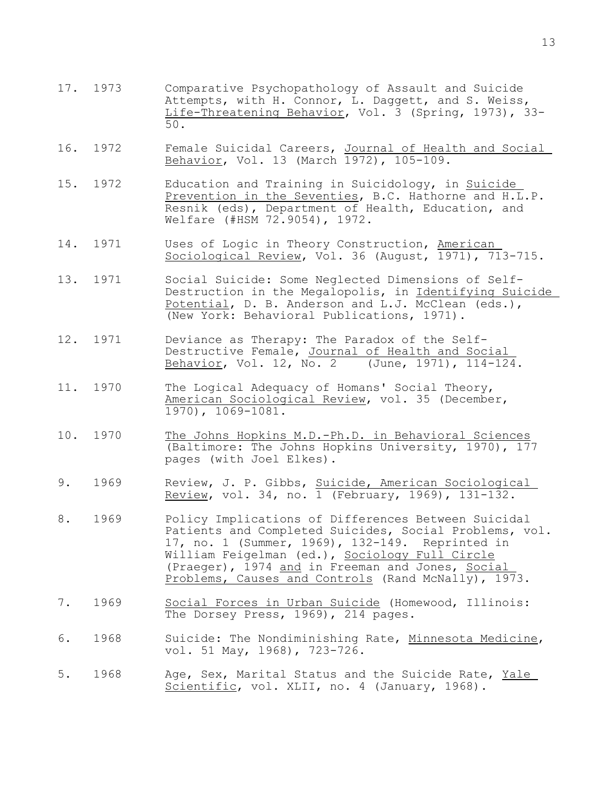- 17. 1973 Comparative Psychopathology of Assault and Suicide Attempts, with H. Connor, L. Daggett, and S. Weiss, Life-Threatening Behavior, Vol. 3 (Spring, 1973), 33-<br>50. 50.
- 16. 1972 Female Suicidal Careers, Journal of Health and Social Behavior, Vol. 13 (March 1972), 105-109.
- 15. 1972 Education and Training in Suicidology, in Suicide Prevention in the Seventies, B.C. Hathorne and H.L.P. Resnik (eds), Department of Health, Education, and Welfare (#HSM 72.9054), 1972.
- 14. 1971 Uses of Logic in Theory Construction, American Sociological Review, Vol. 36 (August, 1971), 713-715.
- 13. 1971 Social Suicide: Some Neglected Dimensions of Self-Destruction in the Megalopolis, in Identifying Suicide Potential, D. B. Anderson and L.J. McClean (eds.), (New York: Behavioral Publications, 1971).
- 12. 1971 Deviance as Therapy: The Paradox of the Self-Destructive Female, Journal of Health and Social Behavior, Vol. 12, No. 2 (June, 1971), 114-124.
- 11. 1970 The Logical Adequacy of Homans' Social Theory, American Sociological Review, vol. 35 (December, 1970), 1069-1081.
- 10. 1970 The Johns Hopkins M.D.-Ph.D. in Behavioral Sciences (Baltimore: The Johns Hopkins University, 1970), 177 pages (with Joel Elkes).
- 9. 1969 Review, J. P. Gibbs, Suicide, American Sociological Review, vol. 34, no. 1 (February, 1969), 131-132.
- 8. 1969 Policy Implications of Differences Between Suicidal Patients and Completed Suicides, Social Problems, vol. 17, no. 1 (Summer, 1969), 132-149. Reprinted in William Feigelman (ed.), Sociology Full Circle (Praeger), 1974 and in Freeman and Jones, Social Problems, Causes and Controls (Rand McNally), 1973.
- 7. 1969 Social Forces in Urban Suicide (Homewood, Illinois: The Dorsey Press, 1969), 214 pages.
- 6. 1968 Suicide: The Nondiminishing Rate, Minnesota Medicine, vol. 51 May, l968), 723-726.
- 5. 1968 Age, Sex, Marital Status and the Suicide Rate, Yale Scientific, vol. XLII, no. 4 (January, 1968).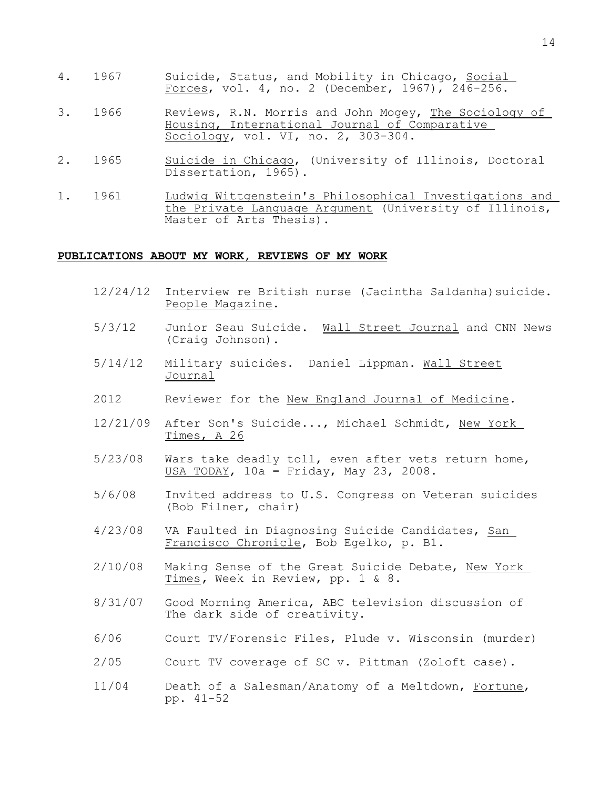- 4. 1967 Suicide, Status, and Mobility in Chicago, Social Forces, vol. 4, no. 2 (December, 1967), 246-256.
- 3. 1966 Reviews, R.N. Morris and John Mogey, The Sociology of Housing, International Journal of Comparative Sociology, vol. VI, no. 2, 303-304.
- 2. 1965 Suicide in Chicago, (University of Illinois, Doctoral Dissertation, 1965).
- 1. 1961 Ludwig Wittgenstein's Philosophical Investigations and the Private Language Argument (University of Illinois, Master of Arts Thesis).

#### **PUBLICATIONS ABOUT MY WORK, REVIEWS OF MY WORK**

- 12/24/12 Interview re British nurse (Jacintha Saldanha)suicide. People Magazine.
- 5/3/12 Junior Seau Suicide. Wall Street Journal and CNN News (Craig Johnson).
- 5/14/12 Military suicides. Daniel Lippman. Wall Street Journal
- 2012 Reviewer for the New England Journal of Medicine.
- 12/21/09 After Son's Suicide..., Michael Schmidt, New York Times, A 26
- 5/23/08 Wars take deadly toll, even after vets return home, USA TODAY, 10a **–** Friday, May 23, 2008.
- 5/6/08 Invited address to U.S. Congress on Veteran suicides (Bob Filner, chair)
- 4/23/08 VA Faulted in Diagnosing Suicide Candidates, San Francisco Chronicle, Bob Egelko, p. B1.
- 2/10/08 Making Sense of the Great Suicide Debate, New York Times**,** Week in Review, pp. 1 & 8.
- 8/31/07 Good Morning America, ABC television discussion of The dark side of creativity.
- 6/06 Court TV/Forensic Files, Plude v. Wisconsin (murder)
- 2/05 Court TV coverage of SC v. Pittman (Zoloft case).
- 11/04 Death of a Salesman/Anatomy of a Meltdown, Fortune, pp. 41-52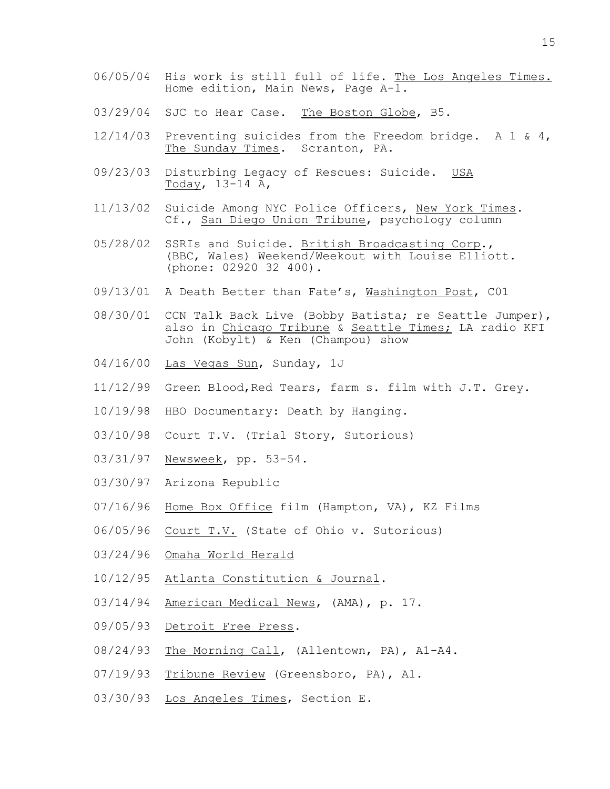- 06/05/04 His work is still full of life. The Los Angeles Times. Home edition, Main News, Page A-1.
- 03/29/04 SJC to Hear Case. The Boston Globe, B5.
- 12/14/03 Preventing suicides from the Freedom bridge. A 1 & 4, The Sunday Times. Scranton, PA.
- 09/23/03 Disturbing Legacy of Rescues: Suicide. USA Today, 13-14 A,
- 11/13/02 Suicide Among NYC Police Officers, New York Times. Cf., San Diego Union Tribune, psychology column
- 05/28/02 SSRIs and Suicide. British Broadcasting Corp., (BBC, Wales) Weekend/Weekout with Louise Elliott. (phone: 02920 32 400).
- 09/13/01 A Death Better than Fate's, Washington Post, C01
- 08/30/01 CCN Talk Back Live (Bobby Batista; re Seattle Jumper), also in Chicago Tribune & Seattle Times; LA radio KFI John (Kobylt) & Ken (Champou) show
- 04/16/00 Las Vegas Sun, Sunday, 1J
- 11/12/99 Green Blood,Red Tears, farm s. film with J.T. Grey.
- 10/19/98 HBO Documentary: Death by Hanging.
- 03/10/98 Court T.V. (Trial Story, Sutorious)
- 03/31/97 Newsweek, pp. 53-54.
- 03/30/97 Arizona Republic
- 07/16/96 Home Box Office film (Hampton, VA), KZ Films
- 06/05/96 Court T.V. (State of Ohio v. Sutorious)
- 03/24/96 Omaha World Herald
- 10/12/95 Atlanta Constitution & Journal.
- 03/14/94 American Medical News, (AMA), p. 17.
- 09/05/93 Detroit Free Press.
- 08/24/93 The Morning Call, (Allentown, PA), A1-A4.
- 07/19/93 Tribune Review (Greensboro, PA), A1.
- 03/30/93 Los Angeles Times, Section E.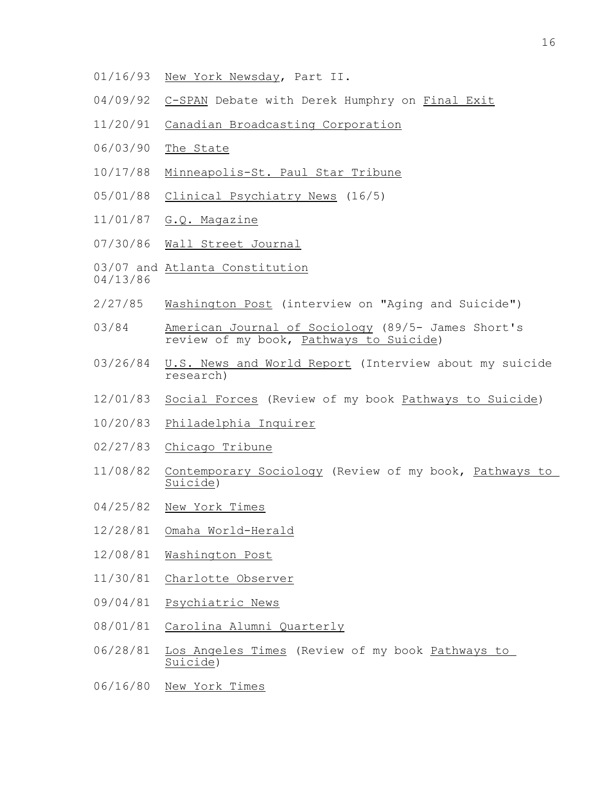- 01/16/93 New York Newsday, Part II.
- 04/09/92 C-SPAN Debate with Derek Humphry on Final Exit
- 11/20/91 Canadian Broadcasting Corporation
- 06/03/90 The State
- 10/17/88 Minneapolis-St. Paul Star Tribune
- 05/01/88 Clinical Psychiatry News (16/5)
- 11/01/87 G.Q. Magazine
- 07/30/86 Wall Street Journal
- 03/07 and Atlanta Constitution
- 04/13/86
- 2/27/85 Washington Post (interview on "Aging and Suicide")
- 03/84 American Journal of Sociology (89/5- James Short's review of my book, Pathways to Suicide)
- 03/26/84 U.S. News and World Report (Interview about my suicide research)
- 12/01/83 Social Forces (Review of my book Pathways to Suicide)
- 10/20/83 Philadelphia Inquirer
- 02/27/83 Chicago Tribune
- 11/08/82 Contemporary Sociology (Review of my book, Pathways to Suicide)
- 04/25/82 New York Times
- 12/28/81 Omaha World-Herald
- 12/08/81 Washington Post
- 11/30/81 Charlotte Observer
- 09/04/81 Psychiatric News
- 08/01/81 Carolina Alumni Quarterly
- 06/28/81 Los Angeles Times (Review of my book Pathways to Suicide)
- 06/16/80 New York Times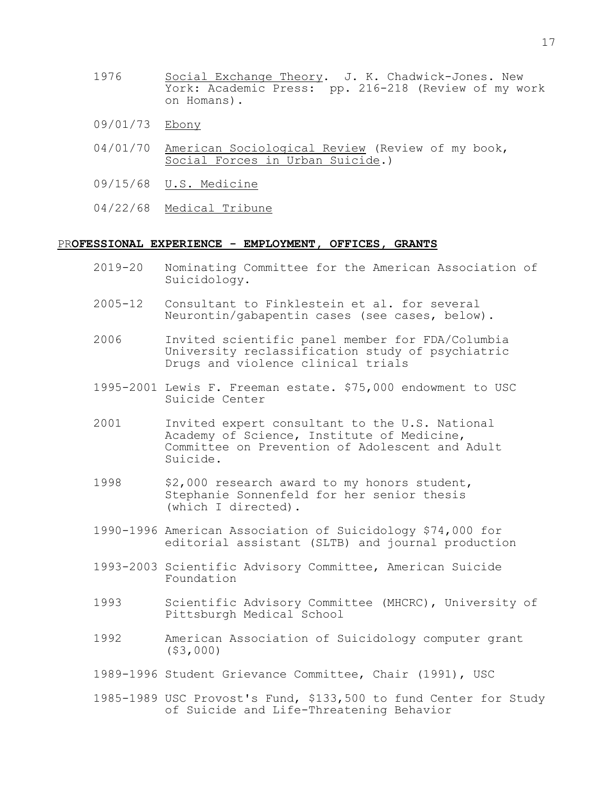- 1976 Social Exchange Theory. J. K. Chadwick-Jones. New York: Academic Press: pp. 216-218 (Review of my work on Homans).
- 09/01/73 Ebony
- 04/01/70 American Sociological Review (Review of my book, Social Forces in Urban Suicide.)
- 09/15/68 U.S. Medicine
- 04/22/68 Medical Tribune

### PR**OFESSIONAL EXPERIENCE - EMPLOYMENT, OFFICES, GRANTS**

- 2019-20 Nominating Committee for the American Association of Suicidology.
- 2005-12 Consultant to Finklestein et al. for several Neurontin/gabapentin cases (see cases, below).
- 2006 Invited scientific panel member for FDA/Columbia University reclassification study of psychiatric Drugs and violence clinical trials
- 1995-2001 Lewis F. Freeman estate. \$75,000 endowment to USC Suicide Center
- 2001 Invited expert consultant to the U.S. National Academy of Science, Institute of Medicine, Committee on Prevention of Adolescent and Adult Suicide.
- 1998 \$2,000 research award to my honors student, Stephanie Sonnenfeld for her senior thesis (which I directed).
- 1990-1996 American Association of Suicidology \$74,000 for editorial assistant (SLTB) and journal production
- 1993-2003 Scientific Advisory Committee, American Suicide Foundation
- 1993 Scientific Advisory Committee (MHCRC), University of Pittsburgh Medical School
- 1992 American Association of Suicidology computer grant (\$3,000)
- 1989-1996 Student Grievance Committee, Chair (1991), USC
- 1985-1989 USC Provost's Fund, \$133,500 to fund Center for Study of Suicide and Life-Threatening Behavior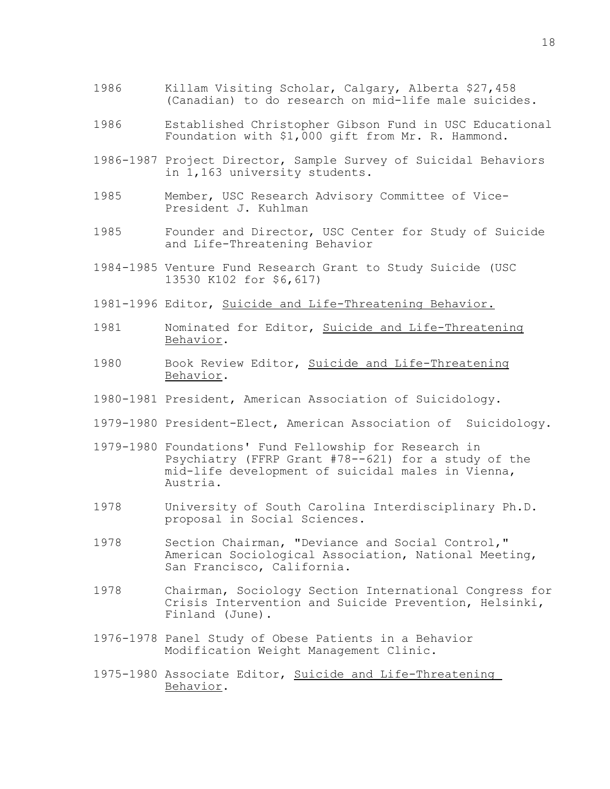- 1986 Killam Visiting Scholar, Calgary, Alberta \$27,458 (Canadian) to do research on mid-life male suicides.
- 1986 Established Christopher Gibson Fund in USC Educational Foundation with \$1,000 gift from Mr. R. Hammond.
- 1986-1987 Project Director, Sample Survey of Suicidal Behaviors in 1,163 university students.
- 1985 Member, USC Research Advisory Committee of Vice-President J. Kuhlman
- 1985 Founder and Director, USC Center for Study of Suicide and Life-Threatening Behavior
- 1984-1985 Venture Fund Research Grant to Study Suicide (USC 13530 K102 for \$6,617)
- 1981-1996 Editor, Suicide and Life-Threatening Behavior.
- 1981 Nominated for Editor, Suicide and Life-Threatening Behavior.
- 1980 Book Review Editor, Suicide and Life-Threatening Behavior.
- 1980-1981 President, American Association of Suicidology.
- 1979-1980 President-Elect, American Association of Suicidology.
- 1979-1980 Foundations' Fund Fellowship for Research in Psychiatry (FFRP Grant #78--621) for a study of the mid-life development of suicidal males in Vienna, Austria.
- 1978 University of South Carolina Interdisciplinary Ph.D. proposal in Social Sciences.
- 1978 Section Chairman, "Deviance and Social Control," American Sociological Association, National Meeting, San Francisco, California.
- 1978 Chairman, Sociology Section International Congress for Crisis Intervention and Suicide Prevention, Helsinki, Finland (June).
- 1976-1978 Panel Study of Obese Patients in a Behavior Modification Weight Management Clinic.
- 1975-1980 Associate Editor, Suicide and Life-Threatening Behavior.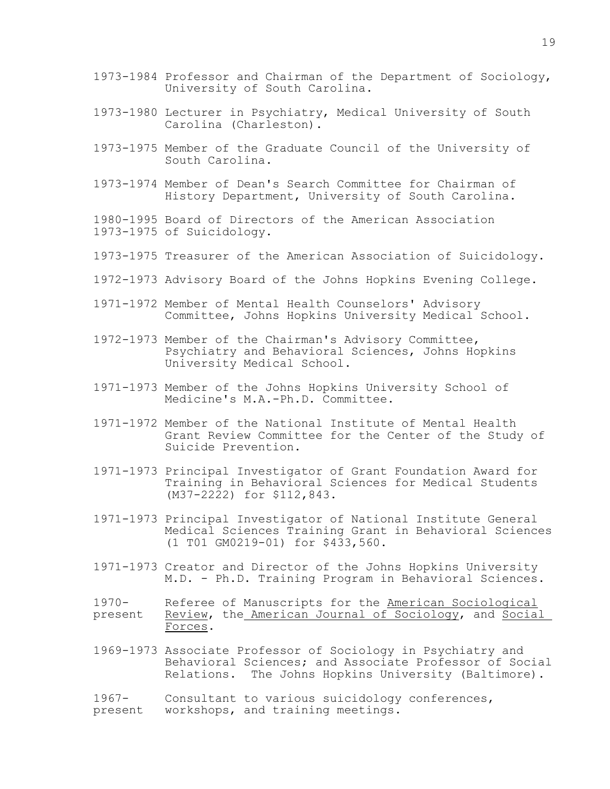- 1973-1984 Professor and Chairman of the Department of Sociology, University of South Carolina.
- 1973-1980 Lecturer in Psychiatry, Medical University of South Carolina (Charleston).
- 1973-1975 Member of the Graduate Council of the University of South Carolina.
- 1973-1974 Member of Dean's Search Committee for Chairman of History Department, University of South Carolina.
- 1980-1995 Board of Directors of the American Association 1973-1975 of Suicidology.
- 1973-1975 Treasurer of the American Association of Suicidology.
- 1972-1973 Advisory Board of the Johns Hopkins Evening College.
- 1971-1972 Member of Mental Health Counselors' Advisory Committee, Johns Hopkins University Medical School.
- 1972-1973 Member of the Chairman's Advisory Committee, Psychiatry and Behavioral Sciences, Johns Hopkins University Medical School.
- 1971-1973 Member of the Johns Hopkins University School of Medicine's M.A.-Ph.D. Committee.
- 1971-1972 Member of the National Institute of Mental Health Grant Review Committee for the Center of the Study of Suicide Prevention.
- 1971-1973 Principal Investigator of Grant Foundation Award for Training in Behavioral Sciences for Medical Students (M37-2222) for \$112,843.
- 1971-1973 Principal Investigator of National Institute General Medical Sciences Training Grant in Behavioral Sciences (1 T01 GM0219-01) for \$433,560.
- 1971-1973 Creator and Director of the Johns Hopkins University M.D. - Ph.D. Training Program in Behavioral Sciences.
- 1970- Referee of Manuscripts for the American Sociological present Review, the American Journal of Sociology, and Social Forces.
- 1969-1973 Associate Professor of Sociology in Psychiatry and Behavioral Sciences; and Associate Professor of Social Relations. The Johns Hopkins University (Baltimore).
- 1967- Consultant to various suicidology conferences, present workshops, and training meetings.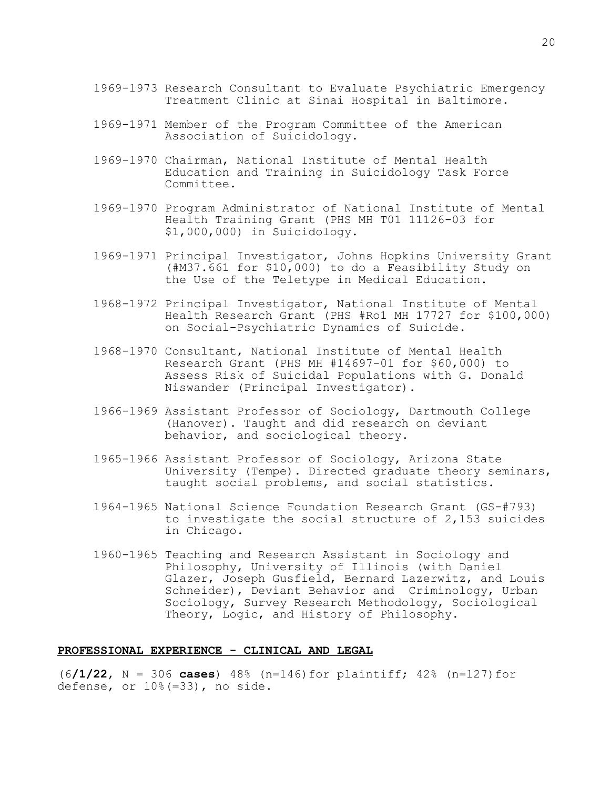- 1969-1973 Research Consultant to Evaluate Psychiatric Emergency Treatment Clinic at Sinai Hospital in Baltimore.
- 1969-1971 Member of the Program Committee of the American Association of Suicidology.
- 1969-1970 Chairman, National Institute of Mental Health Education and Training in Suicidology Task Force Committee.
- 1969-1970 Program Administrator of National Institute of Mental Health Training Grant (PHS MH T01 11126-03 for \$1,000,000) in Suicidology.
- 1969-1971 Principal Investigator, Johns Hopkins University Grant (#M37.661 for \$10,000) to do a Feasibility Study on the Use of the Teletype in Medical Education.
- 1968-1972 Principal Investigator, National Institute of Mental Health Research Grant (PHS #Ro1 MH 17727 for \$100,000) on Social-Psychiatric Dynamics of Suicide.
- 1968-1970 Consultant, National Institute of Mental Health Research Grant (PHS MH #14697-01 for \$60,000) to Assess Risk of Suicidal Populations with G. Donald Niswander (Principal Investigator).
- 1966-1969 Assistant Professor of Sociology, Dartmouth College (Hanover). Taught and did research on deviant behavior, and sociological theory.
- 1965-1966 Assistant Professor of Sociology, Arizona State University (Tempe). Directed graduate theory seminars, taught social problems, and social statistics.
- 1964-1965 National Science Foundation Research Grant (GS-#793) to investigate the social structure of 2,153 suicides in Chicago.
- 1960-1965 Teaching and Research Assistant in Sociology and Philosophy, University of Illinois (with Daniel Glazer, Joseph Gusfield, Bernard Lazerwitz, and Louis Schneider), Deviant Behavior and Criminology, Urban Sociology, Survey Research Methodology, Sociological Theory, Logic, and History of Philosophy.

## **PROFESSIONAL EXPERIENCE - CLINICAL AND LEGAL**

(6**/1/22**, N = 306 **cases**) 48% (n=146)for plaintiff; 42% (n=127)for defense, or 10%(=33), no side.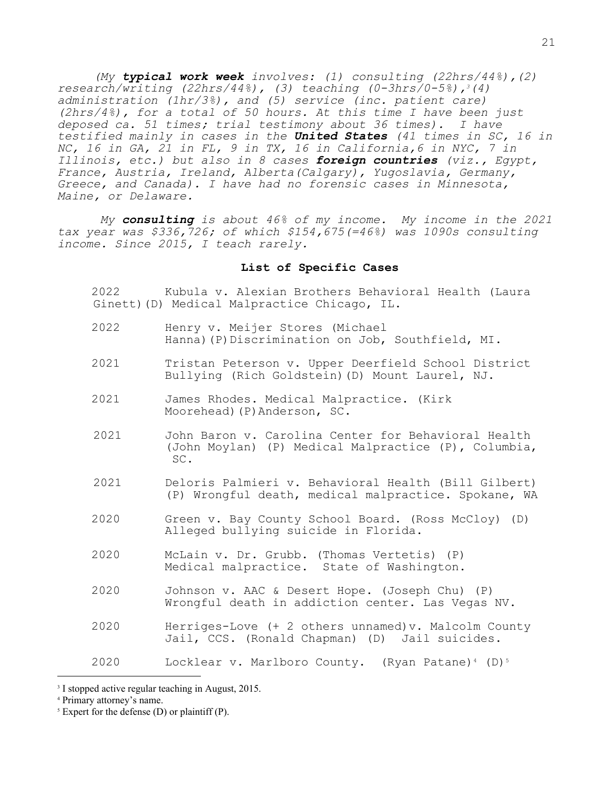*(My typical work week involves: (1) consulting (22hrs/44%),(2) research/writing (22hrs/44%), (3) teaching (0-3hrs/0-5%),3(4) administration (1hr/3%), and (5) service (inc. patient care) (2hrs/4%), for a total of 50 hours. At this time I have been just deposed ca. 51 times; trial testimony about 36 times). I have testified mainly in cases in the United States (41 times in SC, 16 in NC, 16 in GA, 21 in FL, 9 in TX, 16 in California,6 in NYC, 7 in Illinois, etc.) but also in 8 cases foreign countries (viz., Egypt, France, Austria, Ireland, Alberta(Calgary), Yugoslavia, Germany, Greece, and Canada). I have had no forensic cases in Minnesota, Maine, or Delaware.* 

 *My consulting is about 46% of my income. My income in the 2021 tax year was \$336,726; of which \$154,675(=46%) was 1090s consulting income. Since 2015, I teach rarely.* 

## **List of Specific Cases**

2022 Kubula v. Alexian Brothers Behavioral Health (Laura Ginett)(D) Medical Malpractice Chicago, IL.

- 2022 Henry v. Meijer Stores (Michael Hanna)(P)Discrimination on Job, Southfield, MI.
- 2021 Tristan Peterson v. Upper Deerfield School District Bullying (Rich Goldstein)(D) Mount Laurel, NJ.
- 2021 James Rhodes. Medical Malpractice. (Kirk Moorehead)(P)Anderson, SC.
- 2021 John Baron v. Carolina Center for Behavioral Health (John Moylan) (P) Medical Malpractice (P), Columbia, SC.
- 2021 Deloris Palmieri v. Behavioral Health (Bill Gilbert) (P) Wrongful death, medical malpractice. Spokane, WA
- 2020 Green v. Bay County School Board. (Ross McCloy) (D) Alleged bullying suicide in Florida.
- 2020 McLain v. Dr. Grubb. (Thomas Vertetis) (P) Medical malpractice. State of Washington.
- 2020 Johnson v. AAC & Desert Hope. (Joseph Chu) (P) Wrongful death in addiction center. Las Vegas NV.
- 2020 Herriges-Love (+ 2 others unnamed)v. Malcolm County Jail, CCS. (Ronald Chapman) (D) Jail suicides.

2020 Locklear v. Marlboro County. (Ryan Patane)4 (D)<sup>5</sup>

<sup>&</sup>lt;sup>3</sup> I stopped active regular teaching in August, 2015.

<sup>4</sup> Primary attorney's name.

 $5$  Expert for the defense (D) or plaintiff (P).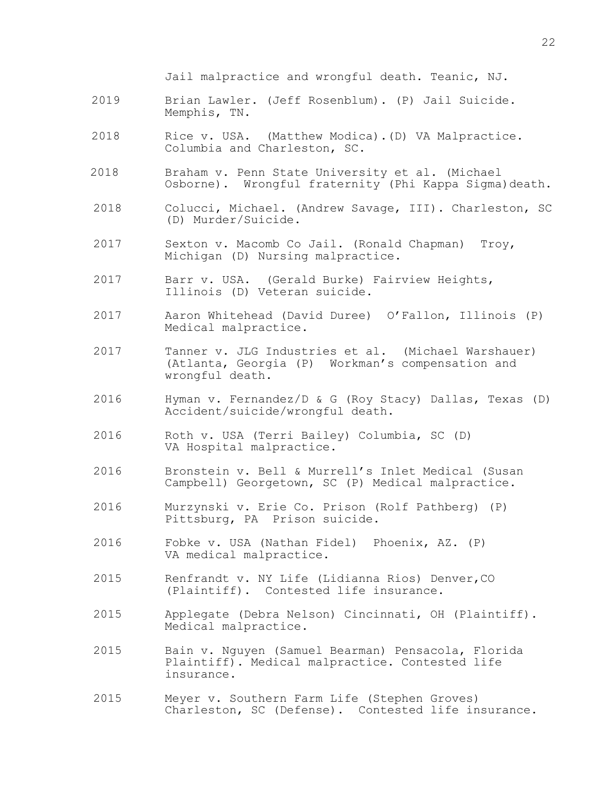Jail malpractice and wrongful death. Teanic, NJ.

- 2019 Brian Lawler. (Jeff Rosenblum). (P) Jail Suicide. Memphis, TN.
- 2018 Rice v. USA. (Matthew Modica).(D) VA Malpractice. Columbia and Charleston, SC.
- 2018 Braham v. Penn State University et al. (Michael Osborne). Wrongful fraternity (Phi Kappa Sigma)death.
- 2018 Colucci, Michael. (Andrew Savage, III). Charleston, SC (D) Murder/Suicide.
- 2017 Sexton v. Macomb Co Jail. (Ronald Chapman) Troy, Michigan (D) Nursing malpractice.
- 2017 Barr v. USA. (Gerald Burke) Fairview Heights, Illinois (D) Veteran suicide.
- 2017 Aaron Whitehead (David Duree) O'Fallon, Illinois (P) Medical malpractice.
- 2017 Tanner v. JLG Industries et al. (Michael Warshauer) (Atlanta, Georgia (P) Workman's compensation and wrongful death.
- 2016 Hyman v. Fernandez/D & G (Roy Stacy) Dallas, Texas (D) Accident/suicide/wrongful death.
- 2016 Roth v. USA (Terri Bailey) Columbia, SC (D) VA Hospital malpractice.
- 2016 Bronstein v. Bell & Murrell's Inlet Medical (Susan Campbell) Georgetown, SC (P) Medical malpractice.
- 2016 Murzynski v. Erie Co. Prison (Rolf Pathberg) (P) Pittsburg, PA Prison suicide.
- 2016 Fobke v. USA (Nathan Fidel) Phoenix, AZ. (P) VA medical malpractice.
- 2015 Renfrandt v. NY Life (Lidianna Rios) Denver,CO (Plaintiff). Contested life insurance.
- 2015 Applegate (Debra Nelson) Cincinnati, OH (Plaintiff). Medical malpractice.
- 2015 Bain v. Nguyen (Samuel Bearman) Pensacola, Florida Plaintiff). Medical malpractice. Contested life insurance.
- 2015 Meyer v. Southern Farm Life (Stephen Groves) Charleston, SC (Defense). Contested life insurance.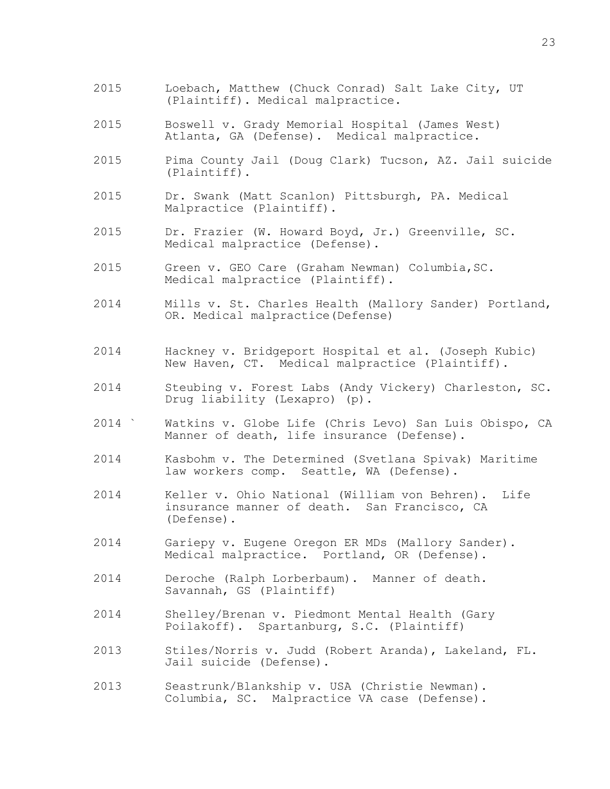- 2015 Loebach, Matthew (Chuck Conrad) Salt Lake City, UT (Plaintiff). Medical malpractice.
- 2015 Boswell v. Grady Memorial Hospital (James West) Atlanta, GA (Defense). Medical malpractice.
- 2015 Pima County Jail (Doug Clark) Tucson, AZ. Jail suicide (Plaintiff).
- 2015 Dr. Swank (Matt Scanlon) Pittsburgh, PA. Medical Malpractice (Plaintiff).
- 2015 Dr. Frazier (W. Howard Boyd, Jr.) Greenville, SC. Medical malpractice (Defense).
- 2015 Green v. GEO Care (Graham Newman) Columbia,SC. Medical malpractice (Plaintiff).
- 2014 Mills v. St. Charles Health (Mallory Sander) Portland, OR. Medical malpractice(Defense)
- 2014 Hackney v. Bridgeport Hospital et al. (Joseph Kubic) New Haven, CT. Medical malpractice (Plaintiff).
- 2014 Steubing v. Forest Labs (Andy Vickery) Charleston, SC. Drug liability (Lexapro) (p).
- 2014 ` Watkins v. Globe Life (Chris Levo) San Luis Obispo, CA Manner of death, life insurance (Defense).
- 2014 Kasbohm v. The Determined (Svetlana Spivak) Maritime law workers comp. Seattle, WA (Defense).
- 2014 Keller v. Ohio National (William von Behren). Life insurance manner of death. San Francisco, CA (Defense).
- 2014 Gariepy v. Eugene Oregon ER MDs (Mallory Sander). Medical malpractice. Portland, OR (Defense).
- 2014 Deroche (Ralph Lorberbaum). Manner of death. Savannah, GS (Plaintiff)
- 2014 Shelley/Brenan v. Piedmont Mental Health (Gary Poilakoff). Spartanburg, S.C. (Plaintiff)
- 2013 Stiles/Norris v. Judd (Robert Aranda), Lakeland, FL. Jail suicide (Defense).
- 2013 Seastrunk/Blankship v. USA (Christie Newman). Columbia, SC. Malpractice VA case (Defense).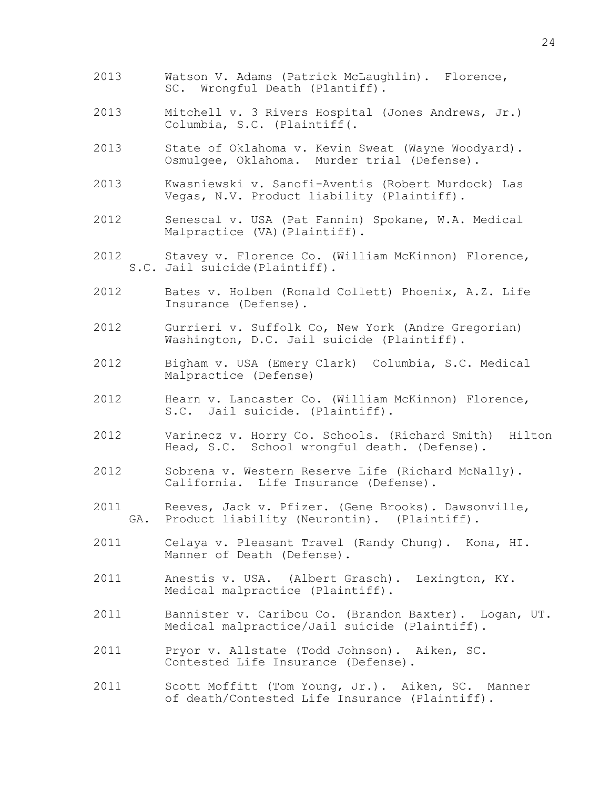- 2013 Watson V. Adams (Patrick McLaughlin). Florence,<br>SC. Wrongful Death (Plantiff). Wrongful Death (Plantiff).
- 2013 Mitchell v. 3 Rivers Hospital (Jones Andrews, Jr.) Columbia, S.C. (Plaintiff(.
- 2013 State of Oklahoma v. Kevin Sweat (Wayne Woodyard). Osmulgee, Oklahoma. Murder trial (Defense).
- 2013 Kwasniewski v. Sanofi-Aventis (Robert Murdock) Las Vegas, N.V. Product liability (Plaintiff).
- 2012 Senescal v. USA (Pat Fannin) Spokane, W.A. Medical Malpractice (VA)(Plaintiff).
- 2012 Stavey v. Florence Co. (William McKinnon) Florence, S.C. Jail suicide(Plaintiff).
- 2012 Bates v. Holben (Ronald Collett) Phoenix, A.Z. Life Insurance (Defense).
- 2012 Gurrieri v. Suffolk Co, New York (Andre Gregorian) Washington, D.C. Jail suicide (Plaintiff).
- 2012 Bigham v. USA (Emery Clark) Columbia, S.C. Medical Malpractice (Defense)
- 2012 Hearn v. Lancaster Co. (William McKinnon) Florence, S.C. Jail suicide. (Plaintiff).
- 2012 Varinecz v. Horry Co. Schools. (Richard Smith) Hilton Head, S.C. School wrongful death. (Defense).
- 2012 Sobrena v. Western Reserve Life (Richard McNally). California. Life Insurance (Defense).
- 2011 Reeves, Jack v. Pfizer. (Gene Brooks). Dawsonville, GA. Product liability (Neurontin). (Plaintiff).
- 2011 Celaya v. Pleasant Travel (Randy Chung). Kona, HI. Manner of Death (Defense).
- 2011 Anestis v. USA. (Albert Grasch). Lexington, KY. Medical malpractice (Plaintiff).
- 2011 Bannister v. Caribou Co. (Brandon Baxter). Logan, UT. Medical malpractice/Jail suicide (Plaintiff).
- 2011 Pryor v. Allstate (Todd Johnson). Aiken, SC. Contested Life Insurance (Defense).
- 2011 Scott Moffitt (Tom Young, Jr.). Aiken, SC. Manner of death/Contested Life Insurance (Plaintiff).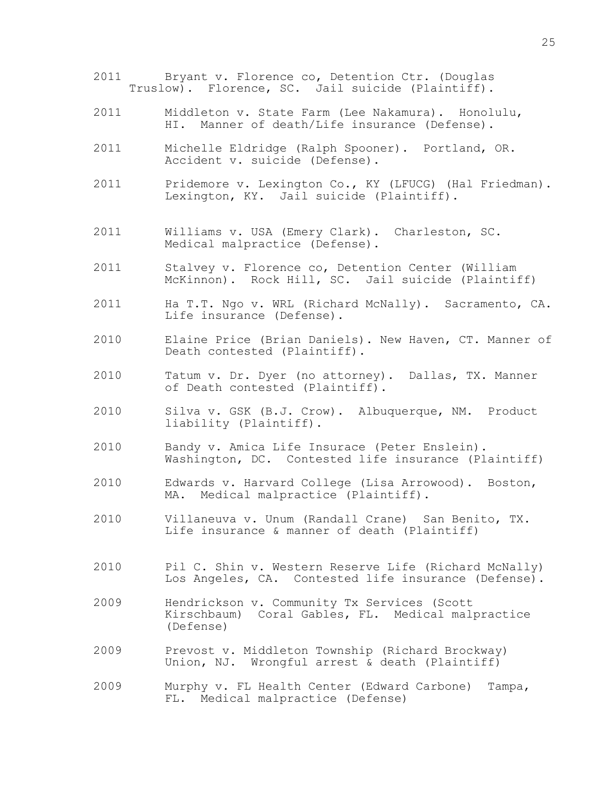- 2011 Bryant v. Florence co, Detention Ctr. (Douglas Truslow). Florence, SC. Jail suicide (Plaintiff).
- 2011 Middleton v. State Farm (Lee Nakamura). Honolulu, HI. Manner of death/Life insurance (Defense).
- 2011 Michelle Eldridge (Ralph Spooner). Portland, OR. Accident v. suicide (Defense).
- 2011 Pridemore v. Lexington Co., KY (LFUCG) (Hal Friedman). Lexington, KY. Jail suicide (Plaintiff).
- 2011 Williams v. USA (Emery Clark). Charleston, SC. Medical malpractice (Defense).
- 2011 Stalvey v. Florence co, Detention Center (William McKinnon). Rock Hill, SC. Jail suicide (Plaintiff)
- 2011 Ha T.T. Ngo v. WRL (Richard McNally). Sacramento, CA. Life insurance (Defense).
- 2010 Elaine Price (Brian Daniels). New Haven, CT. Manner of Death contested (Plaintiff).
- 2010 Tatum v. Dr. Dyer (no attorney). Dallas, TX. Manner of Death contested (Plaintiff).
- 2010 Silva v. GSK (B.J. Crow). Albuquerque, NM. Product liability (Plaintiff).
- 2010 Bandy v. Amica Life Insurace (Peter Enslein). Washington, DC. Contested life insurance (Plaintiff)
- 2010 Edwards v. Harvard College (Lisa Arrowood). Boston, MA. Medical malpractice (Plaintiff).
- 2010 Villaneuva v. Unum (Randall Crane) San Benito, TX. Life insurance & manner of death (Plaintiff)
- 2010 Pil C. Shin v. Western Reserve Life (Richard McNally) Los Angeles, CA. Contested life insurance (Defense).
- 2009 Hendrickson v. Community Tx Services (Scott Kirschbaum) Coral Gables, FL. Medical malpractice (Defense)
- 2009 Prevost v. Middleton Township (Richard Brockway) Union, NJ. Wrongful arrest & death (Plaintiff)
- 2009 Murphy v. FL Health Center (Edward Carbone) Tampa, FL. Medical malpractice (Defense)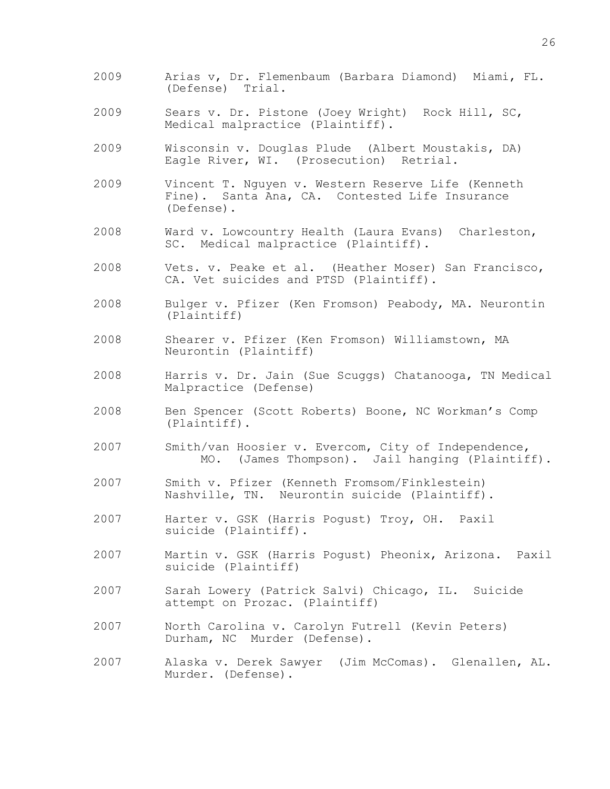- 2009 Arias v, Dr. Flemenbaum (Barbara Diamond) Miami, FL. (Defense) Trial.
- 2009 Sears v. Dr. Pistone (Joey Wright) Rock Hill, SC, Medical malpractice (Plaintiff).
- 2009 Wisconsin v. Douglas Plude (Albert Moustakis, DA) Eagle River, WI. (Prosecution) Retrial.
- 2009 Vincent T. Nguyen v. Western Reserve Life (Kenneth Fine). Santa Ana, CA. Contested Life Insurance (Defense).
- 2008 Ward v. Lowcountry Health (Laura Evans) Charleston, SC. Medical malpractice (Plaintiff).
- 2008 Vets. v. Peake et al. (Heather Moser) San Francisco, CA. Vet suicides and PTSD (Plaintiff).
- 2008 Bulger v. Pfizer (Ken Fromson) Peabody, MA. Neurontin (Plaintiff)
- 2008 Shearer v. Pfizer (Ken Fromson) Williamstown, MA Neurontin (Plaintiff)
- 2008 Harris v. Dr. Jain (Sue Scuggs) Chatanooga, TN Medical Malpractice (Defense)
- 2008 Ben Spencer (Scott Roberts) Boone, NC Workman's Comp (Plaintiff).
- 2007 Smith/van Hoosier v. Evercom, City of Independence, MO. (James Thompson). Jail hanging (Plaintiff).
- 2007 Smith v. Pfizer (Kenneth Fromsom/Finklestein) Nashville, TN. Neurontin suicide (Plaintiff).
- 2007 Harter v. GSK (Harris Pogust) Troy, OH. Paxil suicide (Plaintiff).
- 2007 Martin v. GSK (Harris Pogust) Pheonix, Arizona. Paxil suicide (Plaintiff)
- 2007 Sarah Lowery (Patrick Salvi) Chicago, IL. Suicide attempt on Prozac. (Plaintiff)
- 2007 North Carolina v. Carolyn Futrell (Kevin Peters) Durham, NC Murder (Defense).
- 2007 Alaska v. Derek Sawyer (Jim McComas). Glenallen, AL. Murder. (Defense).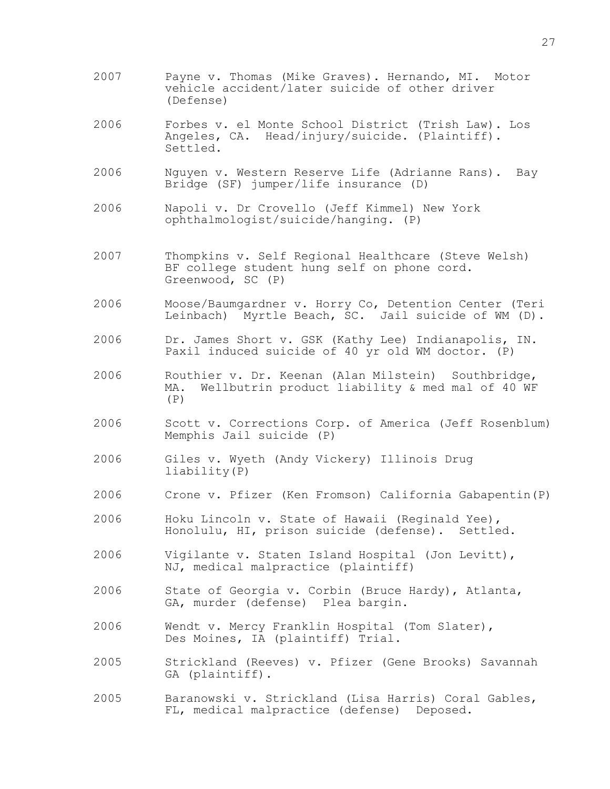- 2007 Payne v. Thomas (Mike Graves). Hernando, MI. Motor vehicle accident/later suicide of other driver (Defense)
- 2006 Forbes v. el Monte School District (Trish Law). Los Angeles, CA. Head/injury/suicide. (Plaintiff). Settled.
- 2006 Nguyen v. Western Reserve Life (Adrianne Rans). Bay Bridge (SF) jumper/life insurance (D)
- 2006 Napoli v. Dr Crovello (Jeff Kimmel) New York ophthalmologist/suicide/hanging. (P)
- 2007 Thompkins v. Self Regional Healthcare (Steve Welsh) BF college student hung self on phone cord. Greenwood, SC (P)
- 2006 Moose/Baumgardner v. Horry Co, Detention Center (Teri Leinbach) Myrtle Beach, SC. Jail suicide of WM (D).
- 2006 Dr. James Short v. GSK (Kathy Lee) Indianapolis, IN. Paxil induced suicide of 40 yr old WM doctor. (P)
- 2006 Routhier v. Dr. Keenan (Alan Milstein) Southbridge, MA. Wellbutrin product liability & med mal of 40 WF  $(P)$
- 2006 Scott v. Corrections Corp. of America (Jeff Rosenblum) Memphis Jail suicide (P)
- 2006 Giles v. Wyeth (Andy Vickery) Illinois Drug liability(P)
- 2006 Crone v. Pfizer (Ken Fromson) California Gabapentin(P)
- 2006 Hoku Lincoln v. State of Hawaii (Reginald Yee), Honolulu, HI, prison suicide (defense). Settled.
- 2006 Vigilante v. Staten Island Hospital (Jon Levitt), NJ, medical malpractice (plaintiff)
- 2006 State of Georgia v. Corbin (Bruce Hardy), Atlanta, GA, murder (defense) Plea bargin.
- 2006 Wendt v. Mercy Franklin Hospital (Tom Slater), Des Moines, IA (plaintiff) Trial.
- 2005 Strickland (Reeves) v. Pfizer (Gene Brooks) Savannah GA (plaintiff).
- 2005 Baranowski v. Strickland (Lisa Harris) Coral Gables, FL, medical malpractice (defense) Deposed.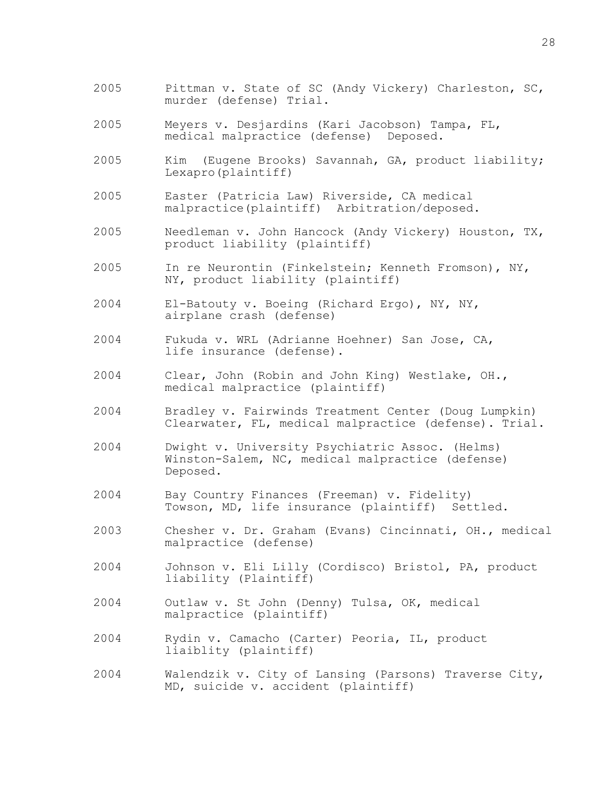- 2005 Pittman v. State of SC (Andy Vickery) Charleston, SC, murder (defense) Trial.
- 2005 Meyers v. Desjardins (Kari Jacobson) Tampa, FL, medical malpractice (defense)
- 2005 Kim (Eugene Brooks) Savannah, GA, product liability; Lexapro(plaintiff)
- 2005 Easter (Patricia Law) Riverside, CA medical malpractice(plaintiff) Arbitration/deposed.
- 2005 Needleman v. John Hancock (Andy Vickery) Houston, TX, product liability (plaintiff)
- 2005 In re Neurontin (Finkelstein; Kenneth Fromson), NY, NY, product liability (plaintiff)
- 2004 El-Batouty v. Boeing (Richard Ergo), NY, NY, airplane crash (defense)
- 2004 Fukuda v. WRL (Adrianne Hoehner) San Jose, CA, life insurance (defense).
- 2004 Clear, John (Robin and John King) Westlake, OH., medical malpractice (plaintiff)
- 2004 Bradley v. Fairwinds Treatment Center (Doug Lumpkin) Clearwater, FL, medical malpractice (defense). Trial.
- 2004 Dwight v. University Psychiatric Assoc. (Helms) Winston-Salem, NC, medical malpractice (defense) Deposed.
- 2004 Bay Country Finances (Freeman) v. Fidelity) Towson, MD, life insurance (plaintiff) Settled.
- 2003 Chesher v. Dr. Graham (Evans) Cincinnati, OH., medical malpractice (defense)
- 2004 Johnson v. Eli Lilly (Cordisco) Bristol, PA, product liability (Plaintiff)
- 2004 Outlaw v. St John (Denny) Tulsa, OK, medical malpractice (plaintiff)
- 2004 Rydin v. Camacho (Carter) Peoria, IL, product liaiblity (plaintiff)
- 2004 Walendzik v. City of Lansing (Parsons) Traverse City, MD, suicide v. accident (plaintiff)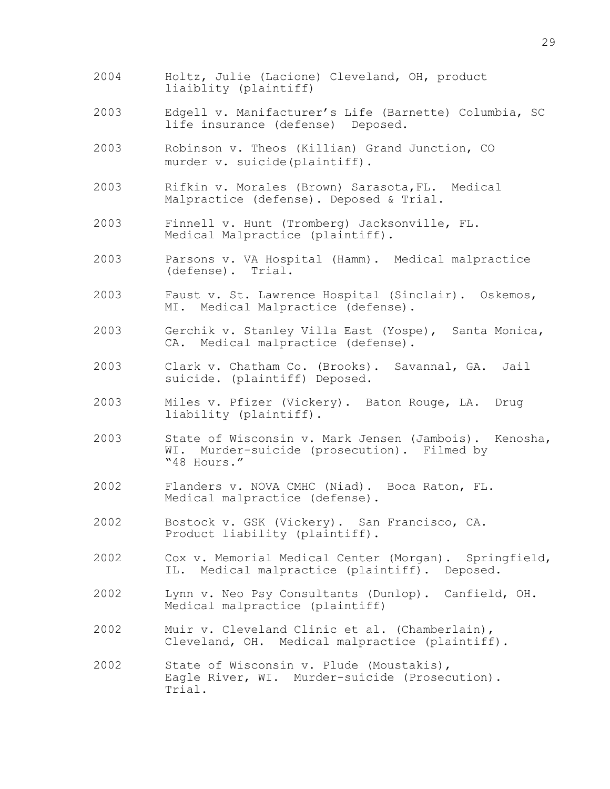- 2004 Holtz, Julie (Lacione) Cleveland, OH, product liaiblity (plaintiff)
- 2003 Edgell v. Manifacturer's Life (Barnette) Columbia, SC life insurance (defense) Deposed.
- 2003 Robinson v. Theos (Killian) Grand Junction, CO murder v. suicide(plaintiff).
- 2003 Rifkin v. Morales (Brown) Sarasota,FL. Medical Malpractice (defense). Deposed & Trial.
- 2003 Finnell v. Hunt (Tromberg) Jacksonville, FL. Medical Malpractice (plaintiff).
- 2003 Parsons v. VA Hospital (Hamm). Medical malpractice (defense). Trial.
- 2003 Faust v. St. Lawrence Hospital (Sinclair). Oskemos, MI. Medical Malpractice (defense).
- 2003 Gerchik v. Stanley Villa East (Yospe), Santa Monica, CA. Medical malpractice (defense).
- 2003 Clark v. Chatham Co. (Brooks). Savannal, GA. Jail suicide. (plaintiff) Deposed.
- 2003 Miles v. Pfizer (Vickery). Baton Rouge, LA. Drug liability (plaintiff).
- 2003 State of Wisconsin v. Mark Jensen (Jambois). Kenosha, WI. Murder-suicide (prosecution). Filmed by "48 Hours."
- 2002 Flanders v. NOVA CMHC (Niad). Boca Raton, FL. Medical malpractice (defense).
- 2002 Bostock v. GSK (Vickery). San Francisco, CA. Product liability (plaintiff).
- 2002 Cox v. Memorial Medical Center (Morgan). Springfield, IL. Medical malpractice (plaintiff). Deposed.
- 2002 Lynn v. Neo Psy Consultants (Dunlop). Canfield, OH. Medical malpractice (plaintiff)
- 2002 Muir v. Cleveland Clinic et al. (Chamberlain), Cleveland, OH. Medical malpractice (plaintiff).
- 2002 State of Wisconsin v. Plude (Moustakis), Eagle River, WI. Murder-suicide (Prosecution). Trial.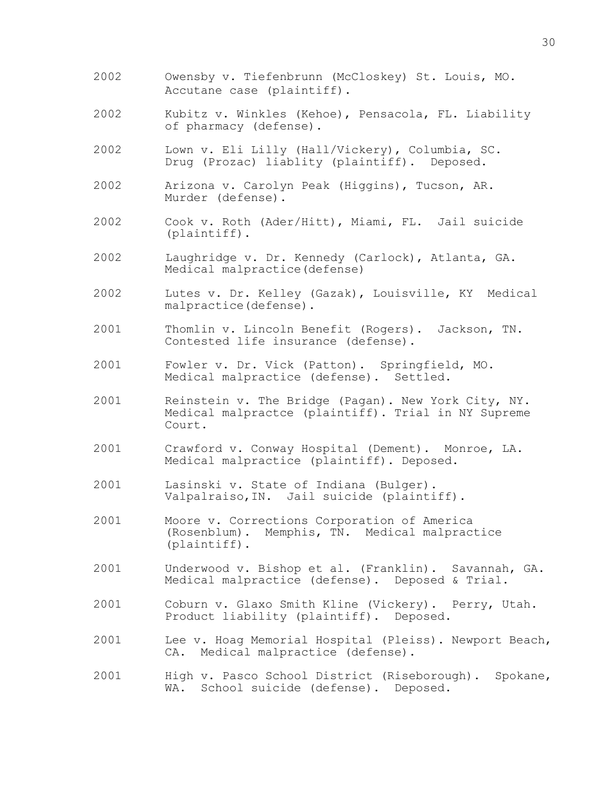- 2002 Owensby v. Tiefenbrunn (McCloskey) St. Louis, MO. Accutane case (plaintiff).
- 2002 Kubitz v. Winkles (Kehoe), Pensacola, FL. Liability of pharmacy (defense).
- 2002 Lown v. Eli Lilly (Hall/Vickery), Columbia, SC. Drug (Prozac) liablity (plaintiff). Deposed.
- 2002 Arizona v. Carolyn Peak (Higgins), Tucson, AR. Murder (defense).
- 2002 Cook v. Roth (Ader/Hitt), Miami, FL. Jail suicide (plaintiff).
- 2002 Laughridge v. Dr. Kennedy (Carlock), Atlanta, GA. Medical malpractice(defense)
- 2002 Lutes v. Dr. Kelley (Gazak), Louisville, KY Medical malpractice(defense).
- 2001 Thomlin v. Lincoln Benefit (Rogers). Jackson, TN. Contested life insurance (defense).
- 2001 Fowler v. Dr. Vick (Patton). Springfield, MO. Medical malpractice (defense). Settled.
- 2001 Reinstein v. The Bridge (Pagan). New York City, NY. Medical malpractce (plaintiff). Trial in NY Supreme Court.
- 2001 Crawford v. Conway Hospital (Dement). Monroe, LA. Medical malpractice (plaintiff). Deposed.
- 2001 Lasinski v. State of Indiana (Bulger). Valpalraiso,IN. Jail suicide (plaintiff).
- 2001 Moore v. Corrections Corporation of America (Rosenblum). Memphis, TN. Medical malpractice (plaintiff).
- 2001 Underwood v. Bishop et al. (Franklin). Savannah, GA. Medical malpractice (defense). Deposed & Trial.
- 2001 Coburn v. Glaxo Smith Kline (Vickery). Perry, Utah. Product liability (plaintiff). Deposed.
- 2001 Lee v. Hoag Memorial Hospital (Pleiss). Newport Beach, CA. Medical malpractice (defense).
- 2001 High v. Pasco School District (Riseborough). Spokane, WA. School suicide (defense). Deposed.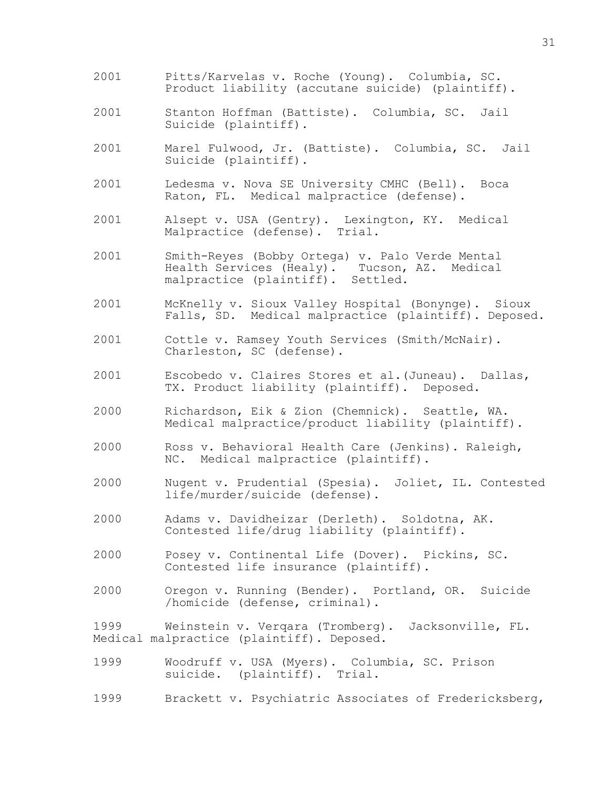- 2001 Pitts/Karvelas v. Roche (Young). Columbia, SC. Product liability (accutane suicide) (plaintiff).
- 2001 Stanton Hoffman (Battiste). Columbia, SC. Jail Suicide (plaintiff).
- 2001 Marel Fulwood, Jr. (Battiste). Columbia, SC. Jail Suicide (plaintiff).
- 2001 Ledesma v. Nova SE University CMHC (Bell). Boca Raton, FL. Medical malpractice (defense).
- 2001 Alsept v. USA (Gentry). Lexington, KY. Medical Malpractice (defense). Trial.
- 2001 Smith-Reyes (Bobby Ortega) v. Palo Verde Mental Health Services (Healy). malpractice (plaintiff). Settled.
- 2001 McKnelly v. Sioux Valley Hospital (Bonynge). Sioux Falls, SD. Medical malpractice (plaintiff). Deposed.
- 2001 Cottle v. Ramsey Youth Services (Smith/McNair). Charleston, SC (defense).
- 2001 Escobedo v. Claires Stores et al.(Juneau). Dallas, TX. Product liability (plaintiff). Deposed.
- 2000 Richardson, Eik & Zion (Chemnick). Seattle, WA. Medical malpractice/product liability (plaintiff).
- 2000 Ross v. Behavioral Health Care (Jenkins). Raleigh, NC. Medical malpractice (plaintiff).
- 2000 Nugent v. Prudential (Spesia). Joliet, IL. Contested life/murder/suicide (defense).
- 2000 Adams v. Davidheizar (Derleth). Soldotna, AK. Contested life/drug liability (plaintiff).
- 2000 Posey v. Continental Life (Dover). Pickins, SC. Contested life insurance (plaintiff).
- 2000 Oregon v. Running (Bender). Portland, OR. Suicide /homicide (defense, criminal).

1999 Weinstein v. Verqara (Tromberg). Jacksonville, FL. Medical malpractice (plaintiff). Deposed.

- 1999 Woodruff v. USA (Myers). Columbia, SC. Prison suicide. (plaintiff). Trial.
- 1999 Brackett v. Psychiatric Associates of Fredericksberg,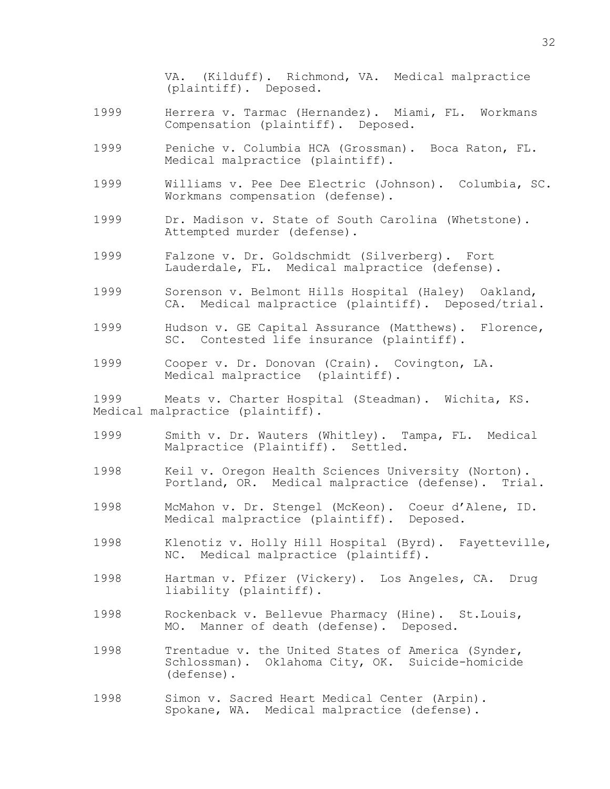VA. (Kilduff). Richmond, VA. Medical malpractice (plaintiff). Deposed.

- 1999 Herrera v. Tarmac (Hernandez). Miami, FL. Workmans Compensation (plaintiff). Deposed.
- 1999 Peniche v. Columbia HCA (Grossman). Boca Raton, FL. Medical malpractice (plaintiff).
- 1999 Williams v. Pee Dee Electric (Johnson). Columbia, SC. Workmans compensation (defense).
- 1999 Dr. Madison v. State of South Carolina (Whetstone). Attempted murder (defense).
- 1999 Falzone v. Dr. Goldschmidt (Silverberg). Fort Lauderdale, FL. Medical malpractice (defense).
- 1999 Sorenson v. Belmont Hills Hospital (Haley) Oakland, CA. Medical malpractice (plaintiff). Deposed/trial.
- 1999 Hudson v. GE Capital Assurance (Matthews). Florence, SC. Contested life insurance (plaintiff).
- 1999 Cooper v. Dr. Donovan (Crain). Covington, LA. Medical malpractice (plaintiff).

1999 Meats v. Charter Hospital (Steadman). Wichita, KS. Medical malpractice (plaintiff).

- 1999 Smith v. Dr. Wauters (Whitley). Tampa, FL. Medical Malpractice (Plaintiff). Settled.
- 1998 Keil v. Oregon Health Sciences University (Norton). Portland, OR. Medical malpractice (defense). Trial.
- 1998 McMahon v. Dr. Stengel (McKeon). Coeur d'Alene, ID. Medical malpractice (plaintiff). Deposed.
- 1998 Klenotiz v. Holly Hill Hospital (Byrd). Fayetteville, NC. Medical malpractice (plaintiff).
- 1998 Hartman v. Pfizer (Vickery). Los Angeles, CA. Drug liability (plaintiff).
- 1998 Rockenback v. Bellevue Pharmacy (Hine). St.Louis, MO. Manner of death (defense). Deposed.
- 1998 Trentadue v. the United States of America (Synder, Schlossman). Oklahoma City, OK. Suicide-homicide (defense).
- 1998 Simon v. Sacred Heart Medical Center (Arpin). Spokane, WA. Medical malpractice (defense).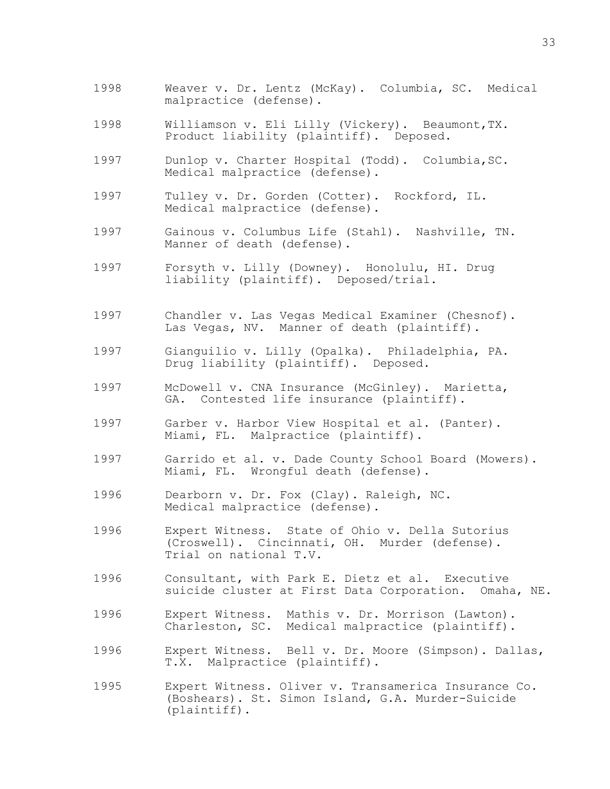- 1998 Weaver v. Dr. Lentz (McKay). Columbia, SC. Medical malpractice (defense).
- 1998 Williamson v. Eli Lilly (Vickery). Beaumont,TX. Product liability (plaintiff). Deposed.
- 1997 Dunlop v. Charter Hospital (Todd). Columbia,SC. Medical malpractice (defense).
- 1997 Tulley v. Dr. Gorden (Cotter). Rockford, IL. Medical malpractice (defense).
- 1997 Gainous v. Columbus Life (Stahl). Nashville, TN. Manner of death (defense).
- 1997 Forsyth v. Lilly (Downey). Honolulu, HI. Drug liability (plaintiff). Deposed/trial.
- 1997 Chandler v. Las Vegas Medical Examiner (Chesnof). Las Vegas, NV. Manner of death (plaintiff).
- 1997 Gianguilio v. Lilly (Opalka). Philadelphia, PA. Drug liability (plaintiff). Deposed.
- 1997 McDowell v. CNA Insurance (McGinley). Marietta, GA. Contested life insurance (plaintiff).
- 1997 Garber v. Harbor View Hospital et al. (Panter). Miami, FL. Malpractice (plaintiff).
- 1997 Garrido et al. v. Dade County School Board (Mowers). Miami, FL. Wrongful death (defense).
- 1996 Dearborn v. Dr. Fox (Clay). Raleigh, NC. Medical malpractice (defense).
- 1996 Expert Witness. State of Ohio v. Della Sutorius (Croswell). Cincinnati, OH. Murder (defense). Trial on national T.V.
- 1996 Consultant, with Park E. Dietz et al. Executive suicide cluster at First Data Corporation. Omaha, NE.
- 1996 Expert Witness. Mathis v. Dr. Morrison (Lawton). Charleston, SC. Medical malpractice (plaintiff).
- 1996 Expert Witness. Bell v. Dr. Moore (Simpson). Dallas, T.X. Malpractice (plaintiff).
- 1995 Expert Witness. Oliver v. Transamerica Insurance Co. (Boshears). St. Simon Island, G.A. Murder-Suicide (plaintiff).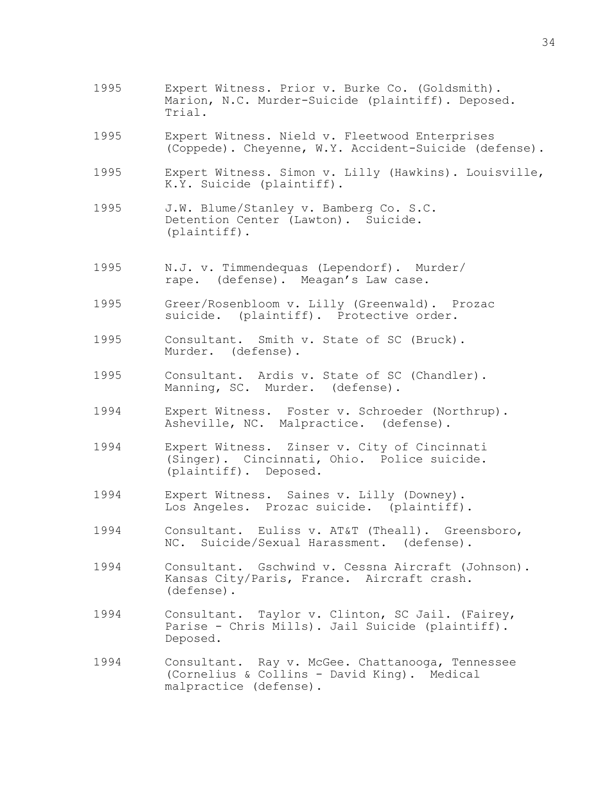- 1995 Expert Witness. Prior v. Burke Co. (Goldsmith). Marion, N.C. Murder-Suicide (plaintiff). Deposed. Trial.
- 1995 Expert Witness. Nield v. Fleetwood Enterprises (Coppede). Cheyenne, W.Y. Accident-Suicide (defense).
- 1995 Expert Witness. Simon v. Lilly (Hawkins). Louisville, K.Y. Suicide (plaintiff).
- 1995 J.W. Blume/Stanley v. Bamberg Co. S.C. Detention Center (Lawton). Suicide. (plaintiff).
- 1995 N.J. v. Timmendequas (Lependorf). Murder/ rape. (defense). Meagan's Law case.
- 1995 Greer/Rosenbloom v. Lilly (Greenwald). Prozac suicide. (plaintiff). Protective order.
- 1995 Consultant. Smith v. State of SC (Bruck). Murder. (defense).
- 1995 Consultant. Ardis v. State of SC (Chandler). Manning, SC. Murder. (defense).
- 1994 Expert Witness. Foster v. Schroeder (Northrup). Asheville, NC. Malpractice. (defense).
- 1994 Expert Witness. Zinser v. City of Cincinnati (Singer). Cincinnati, Ohio. Police suicide. (plaintiff). Deposed.
- 1994 Expert Witness. Saines v. Lilly (Downey). Los Angeles. Prozac suicide. (plaintiff).
- 1994 Consultant. Euliss v. AT&T (Theall). Greensboro, NC. Suicide/Sexual Harassment. (defense).
- 1994 Consultant. Gschwind v. Cessna Aircraft (Johnson). Kansas City/Paris, France. Aircraft crash. (defense).
- 1994 Consultant. Taylor v. Clinton, SC Jail. (Fairey, Parise - Chris Mills). Jail Suicide (plaintiff). Deposed.
- 1994 Consultant. Ray v. McGee. Chattanooga, Tennessee (Cornelius & Collins - David King). Medical malpractice (defense).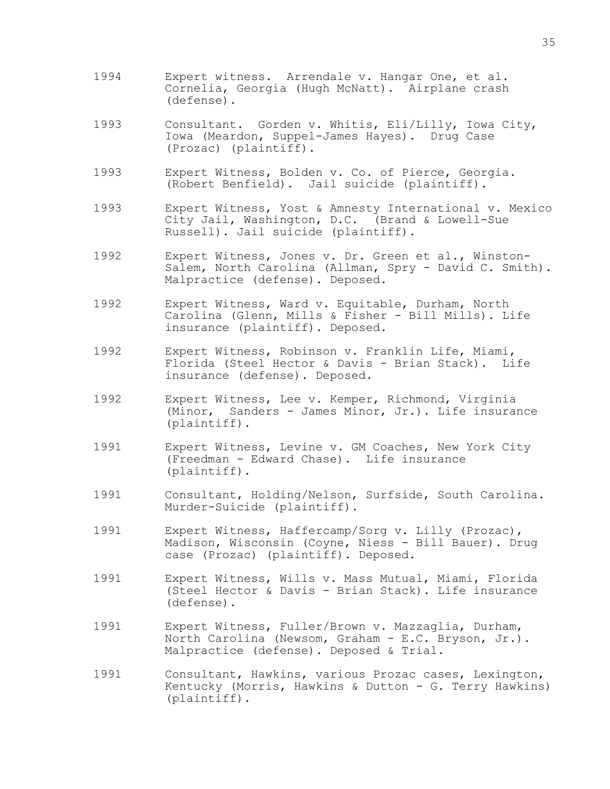- 1994 Expert witness. Arrendale v. Hangar One, et al. Cornelia, Georgia (Hugh McNatt). Airplane crash (defense).
- 1993 Consultant. Gorden v. Whitis, Eli/Lilly, Iowa City, Iowa (Meardon, Suppel-James Hayes). Drug Case (Prozac) (plaintiff).
- 1993 Expert Witness, Bolden v. Co. of Pierce, Georgia. (Robert Benfield). Jail suicide (plaintiff).
- 1993 Expert Witness, Yost & Amnesty International v. Mexico City Jail, Washington, D.C. (Brand & Lowell-Sue Russell). Jail suicide (plaintiff).
- 1992 Expert Witness, Jones v. Dr. Green et al., Winston-Salem, North Carolina (Allman, Spry - David C. Smith). Malpractice (defense). Deposed.
- 1992 Expert Witness, Ward v. Equitable, Durham, North Carolina (Glenn, Mills & Fisher - Bill Mills). Life insurance (plaintiff). Deposed.
- 1992 Expert Witness, Robinson v. Franklin Life, Miami, Florida (Steel Hector & Davis - Brian Stack). Life insurance (defense). Deposed.
- 1992 Expert Witness, Lee v. Kemper, Richmond, Virginia (Minor, Sanders - James Minor, Jr.). Life insurance (plaintiff).
- 1991 Expert Witness, Levine v. GM Coaches, New York City (Freedman - Edward Chase). Life insurance (plaintiff).
- 1991 Consultant, Holding/Nelson, Surfside, South Carolina. Murder-Suicide (plaintiff).
- 1991 Expert Witness, Haffercamp/Sorg v. Lilly (Prozac), Madison, Wisconsin (Coyne, Niess - Bill Bauer). Drug case (Prozac) (plaintiff). Deposed.
- 1991 Expert Witness, Wills v. Mass Mutual, Miami, Florida (Steel Hector & Davis - Brian Stack). Life insurance (defense).
- 1991 Expert Witness, Fuller/Brown v. Mazzaglia, Durham, North Carolina (Newsom, Graham - E.C. Bryson, Jr.). Malpractice (defense). Deposed & Trial.
- 1991 Consultant, Hawkins, various Prozac cases, Lexington, Kentucky (Morris, Hawkins & Dutton - G. Terry Hawkins) (plaintiff).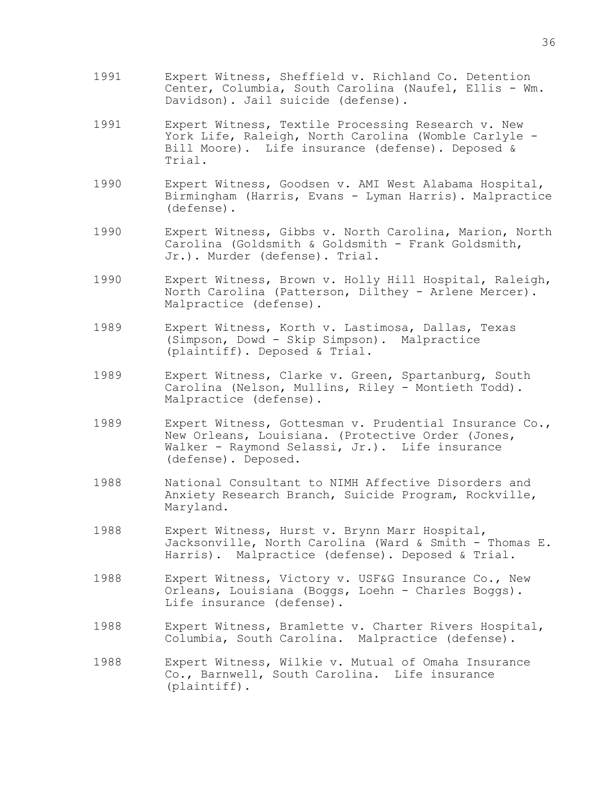- 1991 Expert Witness, Sheffield v. Richland Co. Detention Center, Columbia, South Carolina (Naufel, Ellis - Wm. Davidson). Jail suicide (defense).
- 1991 Expert Witness, Textile Processing Research v. New York Life, Raleigh, North Carolina (Womble Carlyle - Bill Moore). Life insurance (defense). Deposed & Trial.
- 1990 Expert Witness, Goodsen v. AMI West Alabama Hospital, Birmingham (Harris, Evans - Lyman Harris). Malpractice (defense).
- 1990 Expert Witness, Gibbs v. North Carolina, Marion, North Carolina (Goldsmith & Goldsmith - Frank Goldsmith, Jr.). Murder (defense). Trial.
- 1990 Expert Witness, Brown v. Holly Hill Hospital, Raleigh, North Carolina (Patterson, Dilthey - Arlene Mercer). Malpractice (defense).
- 1989 Expert Witness, Korth v. Lastimosa, Dallas, Texas (Simpson, Dowd - Skip Simpson). Malpractice (plaintiff). Deposed & Trial.
- 1989 Expert Witness, Clarke v. Green, Spartanburg, South Carolina (Nelson, Mullins, Riley - Montieth Todd). Malpractice (defense).
- 1989 Expert Witness, Gottesman v. Prudential Insurance Co., New Orleans, Louisiana. (Protective Order (Jones, Walker - Raymond Selassi, Jr.). Life insurance (defense). Deposed.
- 1988 National Consultant to NIMH Affective Disorders and Anxiety Research Branch, Suicide Program, Rockville, Maryland.
- 1988 Expert Witness, Hurst v. Brynn Marr Hospital, Jacksonville, North Carolina (Ward & Smith - Thomas E. Harris). Malpractice (defense). Deposed & Trial.
- 1988 Expert Witness, Victory v. USF&G Insurance Co., New Orleans, Louisiana (Boggs, Loehn - Charles Boggs). Life insurance (defense).
- 1988 Expert Witness, Bramlette v. Charter Rivers Hospital, Columbia, South Carolina. Malpractice (defense).
- 1988 Expert Witness, Wilkie v. Mutual of Omaha Insurance Co., Barnwell, South Carolina. Life insurance (plaintiff).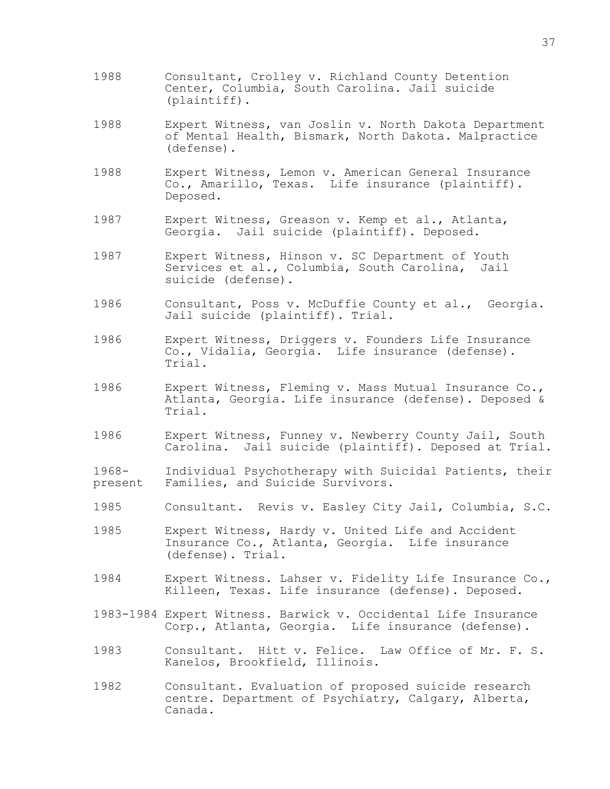- 1988 Consultant, Crolley v. Richland County Detention Center, Columbia, South Carolina. Jail suicide (plaintiff).
- 1988 Expert Witness, van Joslin v. North Dakota Department of Mental Health, Bismark, North Dakota. Malpractice (defense).
- 1988 Expert Witness, Lemon v. American General Insurance Co., Amarillo, Texas. Life insurance (plaintiff). Deposed.
- 1987 Expert Witness, Greason v. Kemp et al., Atlanta, Georgia. Jail suicide (plaintiff). Deposed.
- 1987 Expert Witness, Hinson v. SC Department of Youth Services et al., Columbia, South Carolina, Jail suicide (defense).
- 1986 Consultant, Poss v. McDuffie County et al., Georgia. Jail suicide (plaintiff). Trial.
- 1986 Expert Witness, Driggers v. Founders Life Insurance Co., Vidalia, Georgia. Life insurance (defense). Trial.
- 1986 Expert Witness, Fleming v. Mass Mutual Insurance Co., Atlanta, Georgia. Life insurance (defense). Deposed & Trial.
- 1986 Expert Witness, Funney v. Newberry County Jail, South Carolina. Jail suicide (plaintiff). Deposed at Trial.
- 1968- Individual Psychotherapy with Suicidal Patients, their present Families, and Suicide Survivors.
- 1985 Consultant. Revis v. Easley City Jail, Columbia, S.C.
- 1985 Expert Witness, Hardy v. United Life and Accident Insurance Co., Atlanta, Georgia. Life insurance (defense). Trial.
- 1984 Expert Witness. Lahser v. Fidelity Life Insurance Co., Killeen, Texas. Life insurance (defense). Deposed.
- 1983-1984 Expert Witness. Barwick v. Occidental Life Insurance Corp., Atlanta, Georgia. Life insurance (defense).
- 1983 Consultant. Hitt v. Felice. Law Office of Mr. F. S. Kanelos, Brookfield, Illinois.
- 1982 Consultant. Evaluation of proposed suicide research centre. Department of Psychiatry, Calgary, Alberta, Canada.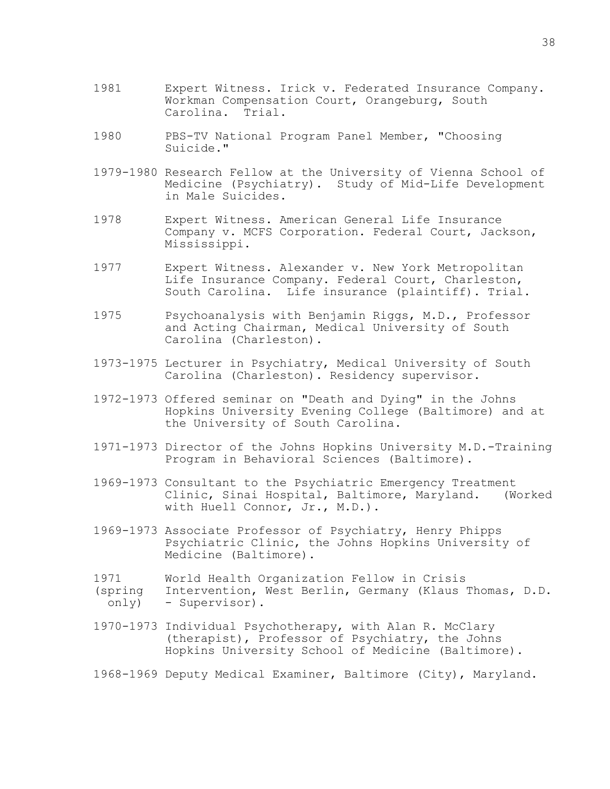- 1981 Expert Witness. Irick v. Federated Insurance Company. Workman Compensation Court, Orangeburg, South<br>Carolina. Trial. Carolina.
- 1980 PBS-TV National Program Panel Member, "Choosing Suicide."
- 1979-1980 Research Fellow at the University of Vienna School of Medicine (Psychiatry). Study of Mid-Life Development in Male Suicides.
- 1978 Expert Witness. American General Life Insurance Company v. MCFS Corporation. Federal Court, Jackson, Mississippi.
- 1977 Expert Witness. Alexander v. New York Metropolitan Life Insurance Company. Federal Court, Charleston, South Carolina. Life insurance (plaintiff). Trial.
- 1975 Psychoanalysis with Benjamin Riggs, M.D., Professor and Acting Chairman, Medical University of South Carolina (Charleston).
- 1973-1975 Lecturer in Psychiatry, Medical University of South Carolina (Charleston). Residency supervisor.
- 1972-1973 Offered seminar on "Death and Dying" in the Johns Hopkins University Evening College (Baltimore) and at the University of South Carolina.
- 1971-1973 Director of the Johns Hopkins University M.D.-Training Program in Behavioral Sciences (Baltimore).
- 1969-1973 Consultant to the Psychiatric Emergency Treatment Clinic, Sinai Hospital, Baltimore, Maryland. (Worked with Huell Connor, Jr., M.D.).
- 1969-1973 Associate Professor of Psychiatry, Henry Phipps Psychiatric Clinic, the Johns Hopkins University of Medicine (Baltimore).
- 1971 World Health Organization Fellow in Crisis<br>(spring Intervention, West Berlin, Germany (Klaus
- Intervention, West Berlin, Germany (Klaus Thomas, D.D. only) - Supervisor).
- 1970-1973 Individual Psychotherapy, with Alan R. McClary (therapist), Professor of Psychiatry, the Johns Hopkins University School of Medicine (Baltimore).

1968-1969 Deputy Medical Examiner, Baltimore (City), Maryland.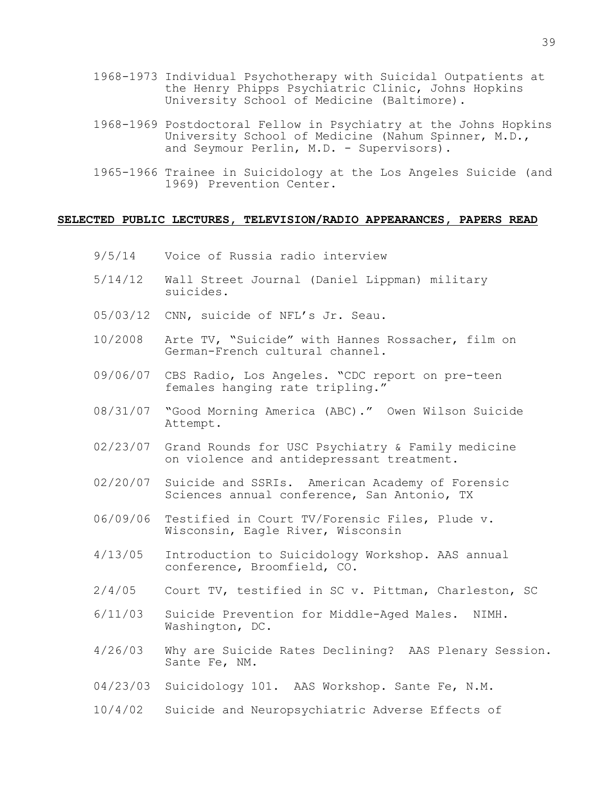- 1968-1973 Individual Psychotherapy with Suicidal Outpatients at the Henry Phipps Psychiatric Clinic, Johns Hopkins University School of Medicine (Baltimore).
- 1968-1969 Postdoctoral Fellow in Psychiatry at the Johns Hopkins University School of Medicine (Nahum Spinner, M.D., and Seymour Perlin, M.D. - Supervisors).
- 1965-1966 Trainee in Suicidology at the Los Angeles Suicide (and 1969) Prevention Center.

## **SELECTED PUBLIC LECTURES, TELEVISION/RADIO APPEARANCES, PAPERS READ**

- 9/5/14 Voice of Russia radio interview
- 5/14/12 Wall Street Journal (Daniel Lippman) military suicides.
- 05/03/12 CNN, suicide of NFL's Jr. Seau.
- 10/2008 Arte TV, "Suicide" with Hannes Rossacher, film on German-French cultural channel.
- 09/06/07 CBS Radio, Los Angeles. "CDC report on pre-teen females hanging rate tripling."
- 08/31/07 "Good Morning America (ABC)." Owen Wilson Suicide Attempt.
- 02/23/07 Grand Rounds for USC Psychiatry & Family medicine on violence and antidepressant treatment.
- 02/20/07 Suicide and SSRIs. American Academy of Forensic Sciences annual conference, San Antonio, TX
- 06/09/06 Testified in Court TV/Forensic Files, Plude v. Wisconsin, Eagle River, Wisconsin
- 4/13/05 Introduction to Suicidology Workshop. AAS annual conference, Broomfield, CO.
- 2/4/05 Court TV, testified in SC v. Pittman, Charleston, SC
- 6/11/03 Suicide Prevention for Middle-Aged Males. NIMH. Washington, DC.
- 4/26/03 Why are Suicide Rates Declining? AAS Plenary Session. Sante Fe, NM.
- 04/23/03 Suicidology 101. AAS Workshop. Sante Fe, N.M.
- 10/4/02 Suicide and Neuropsychiatric Adverse Effects of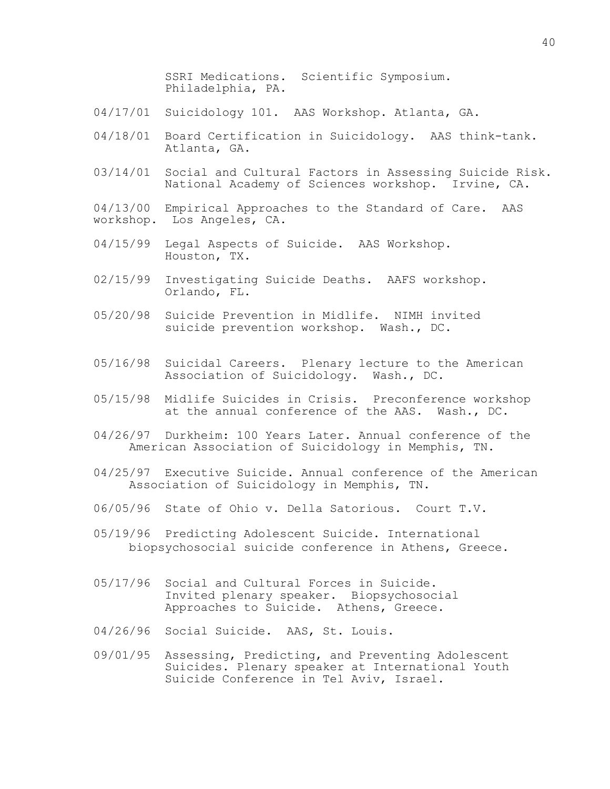SSRI Medications. Scientific Symposium. Philadelphia, PA.

- 04/17/01 Suicidology 101. AAS Workshop. Atlanta, GA.
- 04/18/01 Board Certification in Suicidology. AAS think-tank. Atlanta, GA.
- 03/14/01 Social and Cultural Factors in Assessing Suicide Risk. National Academy of Sciences workshop. Irvine, CA.

04/13/00 Empirical Approaches to the Standard of Care. AAS workshop. Los Angeles, CA.

- 04/15/99 Legal Aspects of Suicide. AAS Workshop. Houston, TX.
- 02/15/99 Investigating Suicide Deaths. AAFS workshop. Orlando, FL.
- 05/20/98 Suicide Prevention in Midlife. NIMH invited suicide prevention workshop. Wash., DC.
- 05/16/98 Suicidal Careers. Plenary lecture to the American Association of Suicidology. Wash., DC.
- 05/15/98 Midlife Suicides in Crisis. Preconference workshop at the annual conference of the AAS. Wash., DC.
- 04/26/97 Durkheim: 100 Years Later. Annual conference of the American Association of Suicidology in Memphis, TN.
- 04/25/97 Executive Suicide. Annual conference of the American Association of Suicidology in Memphis, TN.
- 06/05/96 State of Ohio v. Della Satorious. Court T.V.
- 05/19/96 Predicting Adolescent Suicide. International biopsychosocial suicide conference in Athens, Greece.
- 05/17/96 Social and Cultural Forces in Suicide. Invited plenary speaker. Biopsychosocial Approaches to Suicide. Athens, Greece.
- 04/26/96 Social Suicide. AAS, St. Louis.
- 09/01/95 Assessing, Predicting, and Preventing Adolescent Suicides. Plenary speaker at International Youth Suicide Conference in Tel Aviv, Israel.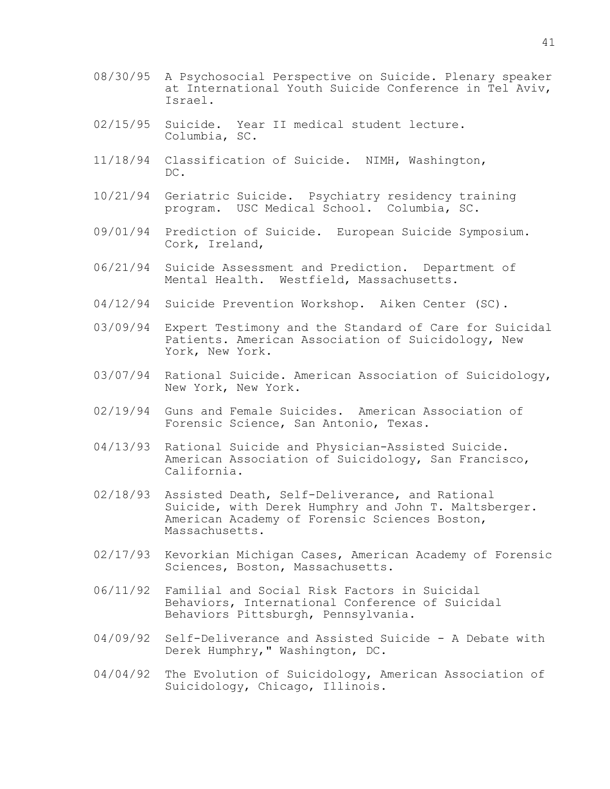- 08/30/95 A Psychosocial Perspective on Suicide. Plenary speaker at International Youth Suicide Conference in Tel Aviv, Israel.
- 02/15/95 Suicide. Year II medical student lecture. Columbia, SC.
- 11/18/94 Classification of Suicide. NIMH, Washington, DC.
- 10/21/94 Geriatric Suicide. Psychiatry residency training program. USC Medical School. Columbia, SC.
- 09/01/94 Prediction of Suicide. European Suicide Symposium. Cork, Ireland,
- 06/21/94 Suicide Assessment and Prediction. Department of Mental Health. Westfield, Massachusetts.
- 04/12/94 Suicide Prevention Workshop. Aiken Center (SC).
- 03/09/94 Expert Testimony and the Standard of Care for Suicidal Patients. American Association of Suicidology, New York, New York.
- 03/07/94 Rational Suicide. American Association of Suicidology, New York, New York.
- 02/19/94 Guns and Female Suicides. American Association of Forensic Science, San Antonio, Texas.
- 04/13/93 Rational Suicide and Physician-Assisted Suicide. American Association of Suicidology, San Francisco, California.
- 02/18/93 Assisted Death, Self-Deliverance, and Rational Suicide, with Derek Humphry and John T. Maltsberger. American Academy of Forensic Sciences Boston, Massachusetts.
- 02/17/93 Kevorkian Michigan Cases, American Academy of Forensic Sciences, Boston, Massachusetts.
- 06/11/92 Familial and Social Risk Factors in Suicidal Behaviors, International Conference of Suicidal Behaviors Pittsburgh, Pennsylvania.
- 04/09/92 Self-Deliverance and Assisted Suicide A Debate with Derek Humphry," Washington, DC.
- 04/04/92 The Evolution of Suicidology, American Association of Suicidology, Chicago, Illinois.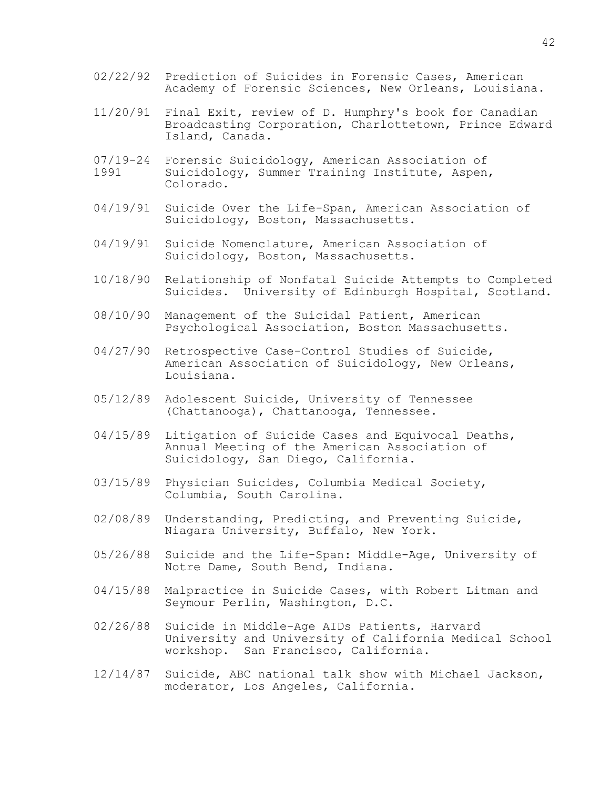- 02/22/92 Prediction of Suicides in Forensic Cases, American Academy of Forensic Sciences, New Orleans, Louisiana.
- 11/20/91 Final Exit, review of D. Humphry's book for Canadian Broadcasting Corporation, Charlottetown, Prince Edward Island, Canada.
- 07/19-24 Forensic Suicidology, American Association of Suicidology, Summer Training Institute, Aspen, Colorado.
- 04/19/91 Suicide Over the Life-Span, American Association of Suicidology, Boston, Massachusetts.
- 04/19/91 Suicide Nomenclature, American Association of Suicidology, Boston, Massachusetts.
- 10/18/90 Relationship of Nonfatal Suicide Attempts to Completed Suicides. University of Edinburgh Hospital, Scotland.
- 08/10/90 Management of the Suicidal Patient, American Psychological Association, Boston Massachusetts.
- 04/27/90 Retrospective Case-Control Studies of Suicide, American Association of Suicidology, New Orleans, Louisiana.
- 05/12/89 Adolescent Suicide, University of Tennessee (Chattanooga), Chattanooga, Tennessee.
- 04/15/89 Litigation of Suicide Cases and Equivocal Deaths, Annual Meeting of the American Association of Suicidology, San Diego, California.
- 03/15/89 Physician Suicides, Columbia Medical Society, Columbia, South Carolina.
- 02/08/89 Understanding, Predicting, and Preventing Suicide, Niagara University, Buffalo, New York.
- 05/26/88 Suicide and the Life-Span: Middle-Age, University of Notre Dame, South Bend, Indiana.
- 04/15/88 Malpractice in Suicide Cases, with Robert Litman and Seymour Perlin, Washington, D.C.
- 02/26/88 Suicide in Middle-Age AIDs Patients, Harvard University and University of California Medical School workshop. San Francisco, California.
- 12/14/87 Suicide, ABC national talk show with Michael Jackson, moderator, Los Angeles, California.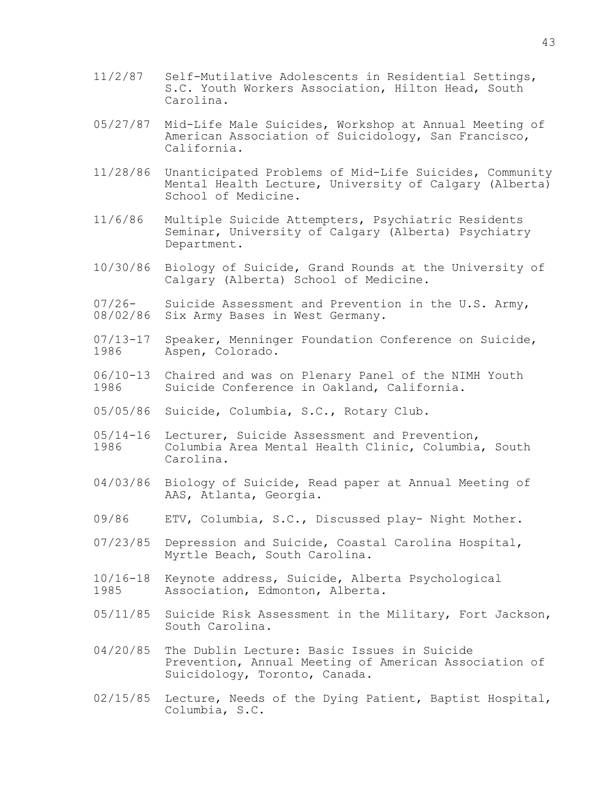- 11/2/87 Self-Mutilative Adolescents in Residential Settings, S.C. Youth Workers Association, Hilton Head, South Carolina.
- 05/27/87 Mid-Life Male Suicides, Workshop at Annual Meeting of American Association of Suicidology, San Francisco, California.
- 11/28/86 Unanticipated Problems of Mid-Life Suicides, Community Mental Health Lecture, University of Calgary (Alberta) School of Medicine.
- 11/6/86 Multiple Suicide Attempters, Psychiatric Residents Seminar, University of Calgary (Alberta) Psychiatry Department.
- 10/30/86 Biology of Suicide, Grand Rounds at the University of Calgary (Alberta) School of Medicine.
- 07/26- Suicide Assessment and Prevention in the U.S. Army, 08/02/86 Six Army Bases in West Germany.
- 07/13-17 Speaker, Menninger Foundation Conference on Suicide,<br>1986 Aspen, Colorado. Aspen, Colorado.
- 06/10-13 Chaired and was on Plenary Panel of the NIMH Youth<br>1986 Suicide Conference in Oakland, California. Suicide Conference in Oakland, California.
- 05/05/86 Suicide, Columbia, S.C., Rotary Club.
- 05/14-16 Lecturer, Suicide Assessment and Prevention,<br>1986 – Columbia Area Mental Health Clinic, Columbia Columbia Area Mental Health Clinic, Columbia, South Carolina.
- 04/03/86 Biology of Suicide, Read paper at Annual Meeting of AAS, Atlanta, Georgia.
- 09/86 ETV, Columbia, S.C., Discussed play- Night Mother.
- 07/23/85 Depression and Suicide, Coastal Carolina Hospital, Myrtle Beach, South Carolina.
- 10/16-18 Keynote address, Suicide, Alberta Psychological Association, Edmonton, Alberta.
- 05/11/85 Suicide Risk Assessment in the Military, Fort Jackson, South Carolina.
- 04/20/85 The Dublin Lecture: Basic Issues in Suicide Prevention, Annual Meeting of American Association of Suicidology, Toronto, Canada.
- 02/15/85 Lecture, Needs of the Dying Patient, Baptist Hospital, Columbia, S.C.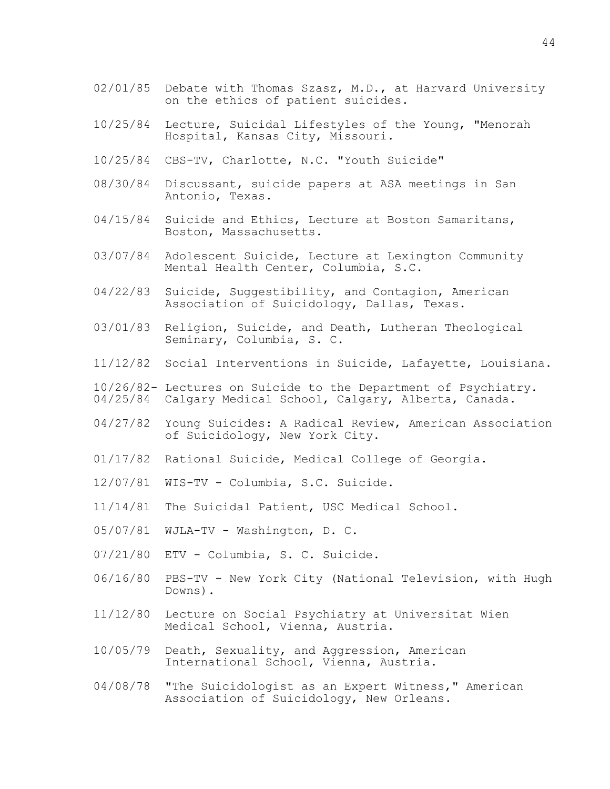- 02/01/85 Debate with Thomas Szasz, M.D., at Harvard University on the ethics of patient suicides.
- 10/25/84 Lecture, Suicidal Lifestyles of the Young, "Menorah Hospital, Kansas City, Missouri.
- 10/25/84 CBS-TV, Charlotte, N.C. "Youth Suicide"
- 08/30/84 Discussant, suicide papers at ASA meetings in San Antonio, Texas.
- 04/15/84 Suicide and Ethics, Lecture at Boston Samaritans, Boston, Massachusetts.
- 03/07/84 Adolescent Suicide, Lecture at Lexington Community Mental Health Center, Columbia, S.C.
- 04/22/83 Suicide, Suggestibility, and Contagion, American Association of Suicidology, Dallas, Texas.
- 03/01/83 Religion, Suicide, and Death, Lutheran Theological Seminary, Columbia, S. C.
- 11/12/82 Social Interventions in Suicide, Lafayette, Louisiana.
- 10/26/82- Lectures on Suicide to the Department of Psychiatry.
- 04/25/84 Calgary Medical School, Calgary, Alberta, Canada.
- 04/27/82 Young Suicides: A Radical Review, American Association of Suicidology, New York City.
- 01/17/82 Rational Suicide, Medical College of Georgia.
- 12/07/81 WIS-TV Columbia, S.C. Suicide.
- 11/14/81 The Suicidal Patient, USC Medical School.
- 05/07/81 WJLA-TV Washington, D. C.
- 07/21/80 ETV Columbia, S. C. Suicide.
- 06/16/80 PBS-TV New York City (National Television, with Hugh Downs).
- 11/12/80 Lecture on Social Psychiatry at Universitat Wien Medical School, Vienna, Austria.
- 10/05/79 Death, Sexuality, and Aggression, American International School, Vienna, Austria.
- 04/08/78 "The Suicidologist as an Expert Witness," American Association of Suicidology, New Orleans.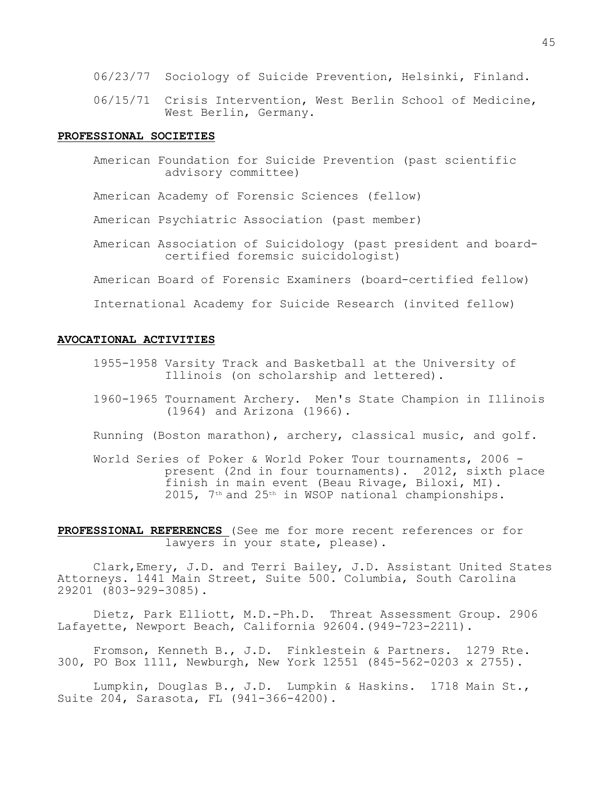- 06/23/77 Sociology of Suicide Prevention, Helsinki, Finland.
- 06/15/71 Crisis Intervention, West Berlin School of Medicine, West Berlin, Germany.

#### **PROFESSIONAL SOCIETIES**

American Foundation for Suicide Prevention (past scientific advisory committee)

American Academy of Forensic Sciences (fellow)

American Psychiatric Association (past member)

American Association of Suicidology (past president and boardcertified foremsic suicidologist)

American Board of Forensic Examiners (board-certified fellow)

International Academy for Suicide Research (invited fellow)

### **AVOCATIONAL ACTIVITIES**

- 1955-1958 Varsity Track and Basketball at the University of Illinois (on scholarship and lettered).
- 1960-1965 Tournament Archery. Men's State Champion in Illinois (1964) and Arizona (1966).
- Running (Boston marathon), archery, classical music, and golf.
- World Series of Poker & World Poker Tour tournaments, 2006 present (2nd in four tournaments). 2012, sixth place finish in main event (Beau Rivage, Biloxi, MI). 2015, 7th and 25th in WSOP national championships.

**PROFESSIONAL REFERENCES** (See me for more recent references or for lawyers in your state, please).

Clark,Emery, J.D. and Terri Bailey, J.D. Assistant United States Attorneys. 1441 Main Street, Suite 500. Columbia, South Carolina 29201 (803-929-3085).

Dietz, Park Elliott, M.D.-Ph.D. Threat Assessment Group. 2906 Lafayette, Newport Beach, California 92604.(949-723-2211).

Fromson, Kenneth B., J.D. Finklestein & Partners. 1279 Rte. 300, PO Box 1111, Newburgh, New York 12551 (845-562-0203 x 2755).

Lumpkin, Douglas B**.**, J.D. Lumpkin & Haskins. 1718 Main St., Suite 204, Sarasota, FL (941-366-4200).